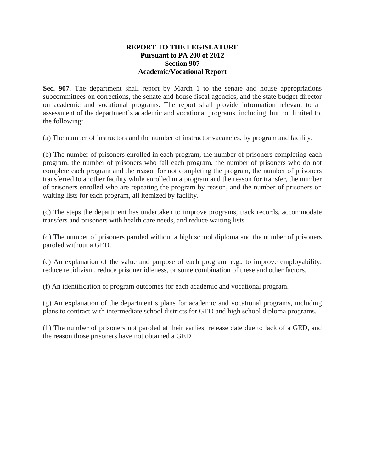#### **REPORT TO THE LEGISLATURE Pursuant to PA 200 of 2012 Section 907 Academic/Vocational Report**

**Sec. 907**. The department shall report by March 1 to the senate and house appropriations subcommittees on corrections, the senate and house fiscal agencies, and the state budget director on academic and vocational programs. The report shall provide information relevant to an assessment of the department's academic and vocational programs, including, but not limited to, the following:

(a) The number of instructors and the number of instructor vacancies, by program and facility.

(b) The number of prisoners enrolled in each program, the number of prisoners completing each program, the number of prisoners who fail each program, the number of prisoners who do not complete each program and the reason for not completing the program, the number of prisoners transferred to another facility while enrolled in a program and the reason for transfer, the number of prisoners enrolled who are repeating the program by reason, and the number of prisoners on waiting lists for each program, all itemized by facility.

(c) The steps the department has undertaken to improve programs, track records, accommodate transfers and prisoners with health care needs, and reduce waiting lists.

(d) The number of prisoners paroled without a high school diploma and the number of prisoners paroled without a GED.

(e) An explanation of the value and purpose of each program, e.g., to improve employability, reduce recidivism, reduce prisoner idleness, or some combination of these and other factors.

(f) An identification of program outcomes for each academic and vocational program.

(g) An explanation of the department's plans for academic and vocational programs, including plans to contract with intermediate school districts for GED and high school diploma programs.

(h) The number of prisoners not paroled at their earliest release date due to lack of a GED, and the reason those prisoners have not obtained a GED.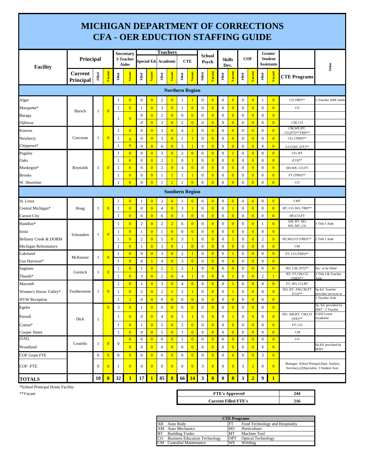### **MICHIGAN DEPARTMENT OF CORRECTIONS CFA - OER EDUCTION STAFFING GUIDE**

| <b>Facility</b>       | Principal                   |                  |                |              | Secretary<br>3-Teacher<br><b>Aides</b> |                  |                | <b>Teachers</b><br>Special Ed. Academic |                  |                        | CTE            | <b>School</b><br>Psych |                | Dev.             | <b>Skills</b>  | <b>COF</b>       |                |                  | Grants/<br><b>Student</b><br>Assistants |                                                                                        | Other                                  |  |
|-----------------------|-----------------------------|------------------|----------------|--------------|----------------------------------------|------------------|----------------|-----------------------------------------|------------------|------------------------|----------------|------------------------|----------------|------------------|----------------|------------------|----------------|------------------|-----------------------------------------|----------------------------------------------------------------------------------------|----------------------------------------|--|
|                       | <b>Current</b><br>Principal | Filled           | Vacant         | Filled       | Vacant                                 | Filled           | <b>Vacant</b>  | Filled                                  | Vacant           | Filled                 | Vacant         | Filled                 | Vacant         | Filled           | Vacant         | Filled           | Vacant         | Filled           | Vacant                                  | <b>CTE Programs</b>                                                                    |                                        |  |
|                       |                             |                  |                |              |                                        |                  |                |                                         |                  | <b>Northern Region</b> |                |                        |                |                  |                |                  |                |                  |                                         |                                                                                        |                                        |  |
| Alger                 |                             |                  |                | -1           | $\overline{0}$                         | $\boldsymbol{0}$ | $\overline{0}$ | $\overline{c}$                          | $\bf{0}$         | 1                      |                | $\boldsymbol{0}$       | $\mathbf{0}$   | $\boldsymbol{0}$ | $\overline{0}$ | $\boldsymbol{0}$ | $\overline{0}$ | 1                | $\overline{0}$                          | CO,TBD**                                                                               | -Teacher ABE funds                     |  |
| Marquette*            |                             |                  |                | 1            | $\overline{0}$                         | 1                | $\overline{0}$ | $\mathfrak{Z}$                          | $\mathbf{0}$     | $\mathbf{1}$           | $\overline{0}$ | $\boldsymbol{0}$       | $\overline{0}$ | $\boldsymbol{0}$ | $\overline{0}$ | $\mathbf{0}$     | $\overline{0}$ | $\boldsymbol{0}$ | $\overline{0}$                          | $_{\rm CO}$                                                                            |                                        |  |
| Baraga                | Barsch                      | 1                | $\overline{0}$ |              |                                        | $\bf{0}$         | $\overline{0}$ | $\overline{2}$                          | $\mathbf{0}$     | $\mathbf{0}$           | $\overline{0}$ | $\boldsymbol{0}$       | $\overline{0}$ | $\mathbf{0}$     | $\overline{0}$ | $\mathbf{0}$     | $\overline{0}$ | $\boldsymbol{0}$ | $\overline{0}$                          |                                                                                        |                                        |  |
| Ojibway               |                             |                  |                | -1           | $\overline{0}$                         | $\boldsymbol{0}$ | $\overline{0}$ | $\mathfrak{Z}$                          | $\mathbf{0}$     | $\sqrt{2}$             | $\overline{0}$ | $\boldsymbol{0}$       | $\overline{0}$ | $\boldsymbol{0}$ | $\overline{0}$ | $\boldsymbol{0}$ | $\overline{0}$ | $\boldsymbol{0}$ | $\mathbf{0}$                            | CM, CO                                                                                 |                                        |  |
| Kinross               |                             |                  |                | 1            | $\overline{0}$                         | $\boldsymbol{0}$ | $\overline{0}$ | 3                                       | $\overline{0}$   | $\overline{4}$         | $\overline{2}$ | $\boldsymbol{0}$       | $\overline{0}$ | $\boldsymbol{0}$ | $\overline{0}$ | $\boldsymbol{0}$ | $\overline{0}$ | $\boldsymbol{0}$ | $\overline{0}$                          | CM, WE, BT,<br>CO,(FT)**TBD**                                                          |                                        |  |
| Newberry              | Corcoran                    | 1                | $\overline{0}$ | $\mathbf{1}$ | $\overline{0}$                         | $\boldsymbol{0}$ | $\overline{0}$ | $\mathfrak{Z}$                          | $\overline{0}$   | $\mathbf{1}$           |                | $\boldsymbol{0}$       | $\overline{0}$ | $\boldsymbol{0}$ | $\overline{0}$ | $\mathbf{0}$     | $\overline{0}$ | $\boldsymbol{0}$ | $\overline{0}$                          | $CO$ , $(TBD)**$                                                                       |                                        |  |
| Chippewa*             |                             |                  |                | $\mathbf{1}$ | $\overline{0}$                         | $\boldsymbol{0}$ | $\overline{0}$ | 6                                       | $\overline{0}$   | 3                      |                | $\mathbf{0}$           | $\overline{0}$ | $\boldsymbol{0}$ | $\overline{0}$ | $\mathbf{0}$     | $\overline{0}$ | $\boldsymbol{0}$ | $\overline{0}$                          | 2-CO,BT, (FT)**                                                                        |                                        |  |
| Pugsley               |                             |                  |                | -1           | $\overline{0}$                         | $\boldsymbol{0}$ | $\overline{0}$ | $\mathfrak{Z}$                          | $\overline{0}$   | $\sqrt{2}$             | $\overline{0}$ | $\boldsymbol{0}$       | $\overline{0}$ | $\boldsymbol{0}$ | -1             | $\boldsymbol{0}$ | $\overline{0}$ | $\boldsymbol{0}$ | $\overline{0}$                          | CO, BT                                                                                 |                                        |  |
| Oaks                  |                             |                  |                | $\mathbf{1}$ | $\overline{0}$                         | $\boldsymbol{0}$ | $\overline{0}$ | $\sqrt{2}$                              | 1                | $\boldsymbol{0}$       | $\mathbf{1}$   | $\boldsymbol{0}$       | $\overline{0}$ | $\boldsymbol{0}$ | $\overline{0}$ | $\boldsymbol{0}$ | $\overline{0}$ | $\boldsymbol{0}$ | $\overline{0}$                          | $(CO)$ **                                                                              |                                        |  |
| Muskegon*             | Reynolds                    | 1                | $\overline{0}$ | $\mathbf{1}$ | $\overline{0}$                         | $\boldsymbol{0}$ | $\overline{0}$ | $\mathfrak{Z}$                          | $\overline{0}$   | $\overline{4}$         | $\overline{0}$ | $\boldsymbol{0}$       | $\overline{0}$ | $\boldsymbol{0}$ | $\overline{0}$ | $\boldsymbol{0}$ | $\overline{0}$ | $\boldsymbol{0}$ | $\overline{0}$                          | HO, WE, CO, FT                                                                         |                                        |  |
| Brooks                |                             |                  |                | $\mathbf{1}$ | $\overline{0}$                         | $\boldsymbol{0}$ | $\overline{0}$ | $\mathbf{1}$                            | $\mathbf{1}$     | $\mathbf{1}$           | $\mathbf{1}$   | $\boldsymbol{0}$       | $\overline{0}$ | $\boldsymbol{0}$ | $\overline{0}$ | $\mathbf{0}$     | $\overline{0}$ | $\boldsymbol{0}$ | $\overline{0}$                          | $FT(TBD)$ **                                                                           |                                        |  |
| W. Shoreline          |                             |                  |                |              | $\overline{0}$                         | $\boldsymbol{0}$ | $\overline{0}$ | $\mathbf{1}$                            | $\overline{2}$   | $\mathbf{1}$           | $\overline{0}$ | $\mathbf{0}$           | $\overline{0}$ | $\mathbf{0}$     | $\overline{0}$ | $\mathbf{0}$     | $\overline{0}$ | $\overline{0}$   | $\overline{0}$                          | $_{\rm CO}$                                                                            |                                        |  |
|                       |                             |                  |                |              |                                        |                  |                |                                         |                  | <b>Southern Region</b> |                |                        |                |                  |                |                  |                |                  |                                         |                                                                                        |                                        |  |
| St. Louis             |                             |                  |                | 1            | $\overline{0}$                         | 1                | $\overline{0}$ | $\overline{c}$                          | $\overline{0}$   | 1                      | $\mathbf{0}$   | $\boldsymbol{0}$       | $\overline{0}$ | $\boldsymbol{0}$ | $\overline{0}$ | $\boldsymbol{0}$ | $\overline{0}$ | $\boldsymbol{0}$ | $\overline{0}$                          | <b>CMT</b>                                                                             |                                        |  |
| Central Michigan*     | Hoag                        | 1                | $\overline{0}$ | 1            | $\overline{0}$                         | $\boldsymbol{0}$ | $\overline{0}$ | $\overline{4}$                          | $\mathbf{0}$     | 3                      |                | $\mathbf{0}$           | $\overline{0}$ | $\mathbf{0}$     | $\overline{1}$ | $\mathbf{0}$     | $\overline{0}$ | $\mathbf{0}$     | $\overline{0}$                          | BT, CO, HO, TBD**                                                                      |                                        |  |
| Carson City           |                             |                  |                | 1            | $\overline{0}$                         | $\boldsymbol{0}$ | $\overline{0}$ | 6                                       | $\mathbf{0}$     | $\mathfrak{Z}$         | $\overline{0}$ | $\boldsymbol{0}$       | $\overline{0}$ | $\boldsymbol{0}$ | $\overline{0}$ | $\boldsymbol{0}$ | $\overline{0}$ | $\boldsymbol{0}$ | $\overline{0}$                          | HO,CO,FT                                                                               |                                        |  |
| Handlon*              |                             |                  |                | 1            | $\overline{0}$                         | $\boldsymbol{2}$ | $\overline{0}$ | $\overline{c}$                          | $\overline{2}$   | 6                      | $\overline{0}$ | $\boldsymbol{0}$       | $\overline{0}$ | $\boldsymbol{0}$ | $\overline{0}$ | $\boldsymbol{0}$ | $\overline{0}$ | -1               | $\overline{0}$                          | AM, BT, HO,<br>WE, MT, CO                                                              | l Title I Aide                         |  |
| lonia                 | Schrauben                   | 1                | $\overline{0}$ | 1            | $\overline{0}$                         | $\mathbf{1}$     | $\overline{0}$ | 1                                       | $\overline{0}$   | $\boldsymbol{0}$       | $\overline{0}$ | $\boldsymbol{0}$       | $\overline{0}$ | $\boldsymbol{0}$ | $\overline{0}$ | $\mathbf{0}$     | $\overline{0}$ | $\boldsymbol{0}$ | $\overline{0}$                          |                                                                                        |                                        |  |
| Bellamy Creek & DORM  |                             |                  |                | 1            | $\overline{0}$                         | $\mathfrak{2}$   | $\overline{0}$ | 5                                       | $\overline{0}$   | $\mathfrak{Z}$         |                | $\boldsymbol{0}$       | $\overline{0}$ | $\boldsymbol{0}$ | -1             | $\boldsymbol{0}$ | $\overline{0}$ | $\sqrt{2}$       | $\overline{0}$                          | BT, HO, CO (TBD)**                                                                     | 2 Title I Aide                         |  |
| Michigan Reformatory  |                             |                  |                | $\mathbf{1}$ | $\overline{0}$                         | 1                | $\overline{0}$ | $\mathfrak{Z}$                          | $\overline{0}$   | 1                      | $\overline{0}$ | $\boldsymbol{0}$       | $\overline{0}$ | $\boldsymbol{0}$ | $\overline{0}$ | $\boldsymbol{0}$ | $\overline{0}$ | $\boldsymbol{0}$ | $\overline{0}$                          | <b>CM</b>                                                                              |                                        |  |
| Lakeland              | McKenzie                    | $\mathbf{1}$     | $\overline{0}$ | 1            | $\overline{0}$                         | $\boldsymbol{0}$ | $\overline{0}$ | 3                                       | $\overline{0}$   | $\boldsymbol{2}$       | $\mathbf{1}$   | $\boldsymbol{0}$       | $\overline{0}$ | $\mathbf{0}$     | $\mathbf{1}$   | $\mathbf{0}$     | $\overline{0}$ | $\boldsymbol{0}$ | $\overline{0}$                          | FT, CO (TBD)**                                                                         |                                        |  |
| Gus Harrison*         |                             |                  |                | $\mathbf{1}$ | $\overline{0}$                         | $\boldsymbol{0}$ | $\mathbf{1}$   | $\overline{4}$                          | $\overline{0}$   | 3                      | $\overline{0}$ | $\mathbf{0}$           | $\overline{0}$ | $\mathbf{0}$     | $\overline{0}$ | $\mathbf{0}$     | $\overline{0}$ | $\boldsymbol{0}$ | $\overline{0}$                          |                                                                                        |                                        |  |
| Saginaw               | Gornick                     | 1                | $\overline{0}$ | 1            | $\overline{0}$                         | 1                | $\overline{0}$ | $\sqrt{2}$                              | $\mathbf{1}$     | $\sqrt{2}$             | 1              | $\boldsymbol{0}$       | $\overline{0}$ | $\boldsymbol{0}$ | $\overline{0}$ | $\boldsymbol{0}$ | $\overline{0}$ | $\boldsymbol{0}$ | $\overline{0}$                          | $HO, CM, (FT)**$                                                                       | Sec. to be filled                      |  |
| Thumb*                |                             |                  |                |              | $\overline{0}$                         | 3                | $\overline{0}$ | $\overline{c}$                          | $\overline{0}$   | 4                      |                | $\boldsymbol{0}$       | $\overline{0}$ | $\boldsymbol{0}$ |                | $\boldsymbol{0}$ | $\overline{0}$ | $\overline{2}$   | $\mathbf{1}$                            | BT, FT,CM,CO<br>$(TBD)$ **                                                             | 2 Title I & Teacher<br>Aide            |  |
| Macomb                |                             |                  |                | -1           | $\overline{0}$                         | 1                | $\mathbf{0}$   | $\mathfrak{Z}$                          | $\overline{0}$   | $\overline{4}$         | $\overline{0}$ | $\boldsymbol{0}$       | $\overline{0}$ | $\boldsymbol{0}$ | -1             | $\mathbf{0}$     | $\overline{0}$ | $\boldsymbol{0}$ | $\overline{0}$                          | FT, HO, CO,BT                                                                          |                                        |  |
| Women's Huron Valley* | Featherstone                | 1                | $\overline{0}$ | 1            | $\overline{0}$                         | $\mathbf{2}$     | $\overline{0}$ | $\overline{c}$                          | $\mathbf{1}$     | 5                      |                | $\boldsymbol{0}$       | $\overline{0}$ | $\boldsymbol{0}$ |                | $\boldsymbol{0}$ | $\overline{0}$ | $\mathbf{0}$     | $\overline{0}$                          | HO, BT, AM, CM, FT<br>$(CO)$ **                                                        | Sp.Ed. Teacher<br>provides services at |  |
| <b>HVW Reception</b>  |                             |                  |                | $\mathbf{1}$ | $\mathbf{1}$                           | $\boldsymbol{0}$ | $\overline{0}$ | $\mathbf{0}$                            | $\overline{0}$   | $\boldsymbol{0}$       | $\overline{0}$ | $\boldsymbol{0}$       | $\overline{0}$ | $\mathbf{0}$     | $\overline{0}$ | $\mathbf{0}$     | $\overline{0}$ | $\mathbf{0}$     | $\overline{0}$                          |                                                                                        | Teacher Aide                           |  |
| Egeler                |                             |                  | $\overline{0}$ | 3            | $\overline{0}$                         | 1                | $\overline{0}$ | $\mathbf{0}$                            | $\overline{0}$   | $\boldsymbol{0}$       | $\overline{0}$ | $\mathbf{0}$           | $\overline{0}$ | $\boldsymbol{0}$ | $\overline{0}$ | $\boldsymbol{0}$ | $\overline{0}$ | $\mathbf{0}$     | $\overline{0}$                          |                                                                                        | Sp. Ed. provided by<br>SMT - 2 Teacher |  |
| Parnall               |                             |                  |                | 1            | $\overline{0}$                         | $\boldsymbol{0}$ | $\mathbf{0}$   | $\overline{4}$                          | $\overline{0}$   | 5                      |                | $\mathbf{0}$           | $\overline{0}$ | $\mathbf{0}$     |                | $\overline{0}$   | $\overline{0}$ | $\boldsymbol{0}$ | $\overline{0}$                          | HO, AM, BT, CM, CO<br>$(WE)$ **                                                        | <b>UAW</b> Leave<br>Academic           |  |
| Cotton*               | Dick                        | 1                |                | 1            | $\overline{0}$                         | 1                | $\overline{0}$ | 5                                       | $\overline{0}$   | $\sqrt{2}$             | $\overline{0}$ | $\boldsymbol{0}$       | $\overline{0}$ | $\boldsymbol{0}$ | $\overline{0}$ | $\mathbf{0}$     | $\overline{0}$ | $\boldsymbol{0}$ | $\overline{0}$                          | FT, CO                                                                                 |                                        |  |
| Cooper Street         |                             |                  |                | 1            | $\overline{0}$                         | $\boldsymbol{0}$ | $\overline{0}$ | 5                                       | $\overline{0}$   | 1                      | $\overline{0}$ | $\mathbf{0}$           | $\overline{0}$ | $\mathbf{0}$     | $\overline{0}$ | $\mathbf{0}$     | $\overline{0}$ | $\boldsymbol{0}$ | $\overline{0}$                          | CM                                                                                     |                                        |  |
| (SAI)                 |                             |                  |                |              | $\vert 0 \vert$                        | $\bf{0}$         | $\mathbf{0}$   | $\boldsymbol{0}$                        | $\overline{0}$   | 1                      | $\mathbf{0}$   | $\boldsymbol{0}$       | $\overline{0}$ | $\overline{0}$   | $\overline{0}$ | $\boldsymbol{0}$ | $\overline{0}$ | $\boldsymbol{0}$ | $\overline{0}$                          | $_{\rm CO}$                                                                            |                                        |  |
| Woodland              | Costello                    | 1                | $\overline{0}$ | $\bf{0}$     | $\overline{0}$                         | $\boldsymbol{0}$ | $\overline{0}$ | $\boldsymbol{0}$                        | $\overline{0}$   | $\boldsymbol{0}$       | $\overline{0}$ | $\mathbf{0}$           | $\overline{0}$ | $\mathbf{0}$     | $\overline{0}$ | $\mathbf{0}$     | $\overline{0}$ | $\boldsymbol{0}$ | $\overline{0}$                          |                                                                                        | Sp.Ed. provided by<br>WHV              |  |
| COF Grant FTE         |                             | $\boldsymbol{0}$ | $\mathbf{0}$   | $\bf{0}$     | $\overline{0}$                         | $\boldsymbol{0}$ | $\mathbf{0}$   | $\boldsymbol{0}$                        | $\overline{0}$   | $\boldsymbol{0}$       | $\overline{0}$ | $\boldsymbol{0}$       | $\overline{0}$ | $\mathbf{0}$     | $\overline{0}$ | $\mathbf{0}$     | $\overline{0}$ | $\mathfrak z$    | $\overline{0}$                          |                                                                                        |                                        |  |
| COF-FTE               |                             | $\overline{0}$   | $\mathbf{0}$   | -1           | $\overline{0}$                         | $\boldsymbol{0}$ | $\overline{0}$ | $\mathbf{0}$                            | $\overline{0}$   | $\mathbf{0}$           | $\mathbf{0}$   | 3                      | $\overline{0}$ | $\mathbf{0}$     | $\overline{0}$ | 3                | $\overline{2}$ | $\mathbf{0}$     | $\overline{0}$                          | Manager, School Prinipal, Dept. Analyst,<br>Secretary, (2) Specialist, 3 Student Asst. |                                        |  |
| <b>TOTALS</b>         |                             | 10               | $\bf{0}$       | 32           | $\mathbf{1}$                           | 17               | $\mathbf{1}$   | 85                                      | $\boldsymbol{8}$ | 66                     | 14             | 3                      | $\bf{0}$       | $\bf{0}$         | $\bf{8}$       | 3                | $\overline{2}$ | 9                | $\mathbf{1}$                            |                                                                                        |                                        |  |

\*School Prinicpal Home Facility

| **Vacant | 54 F F L<br><b>FIE's Approved</b> | 24 <sub>0</sub><br>- |
|----------|-----------------------------------|----------------------|
|          | <b>Current Filled FTE's</b>       | 216                  |

|    | <b>CTE Programs</b>                  |            |                                 |  |  |  |  |  |
|----|--------------------------------------|------------|---------------------------------|--|--|--|--|--|
| AB | Auto Body                            | FT         | Food Technology and Hospitality |  |  |  |  |  |
|    | AM Auto Mechanics                    | HO         | Horticulture                    |  |  |  |  |  |
|    | <b>BT</b> Building Trades            | MT         | Machine Tool                    |  |  |  |  |  |
| CO | <b>Business Education Technology</b> | <b>OPT</b> | <b>Optical Technology</b>       |  |  |  |  |  |
|    | <b>CM</b> Custodial Maintenance      | <b>WE</b>  | Welding                         |  |  |  |  |  |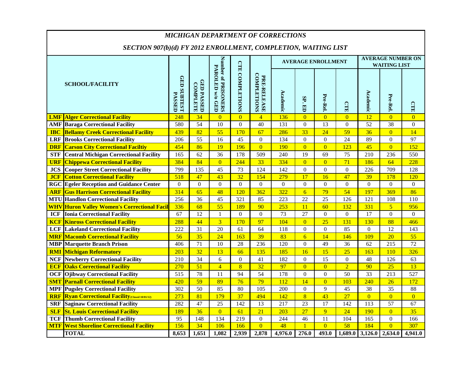|            | <b>MICHIGAN DEPARTMENT OF CORRECTIONS</b>                      |                              |                                      |                                        |                        |                            |              |                  |                           |                  |                                                 |                      |                  |
|------------|----------------------------------------------------------------|------------------------------|--------------------------------------|----------------------------------------|------------------------|----------------------------|--------------|------------------|---------------------------|------------------|-------------------------------------------------|----------------------|------------------|
|            | SECTION 907(b)(d) FY 2012 ENROLLMENT, COMPLETION, WAITING LIST |                              |                                      |                                        |                        |                            |              |                  |                           |                  |                                                 |                      |                  |
|            |                                                                |                              |                                      |                                        |                        |                            |              |                  | <b>AVERAGE ENROLLMENT</b> |                  | <b>AVERAGE NUMBER ON</b><br><b>WAITING LIST</b> |                      |                  |
|            | <b>SCHOOL/FACILITY</b>                                         | GED SUBTEST<br><b>PASSED</b> | <b>GED PASSED</b><br><b>COMPLETE</b> | Number of PRISONERS<br>PAROLED w/o GED | <b>CTE COMPLETIONS</b> | PRE-RELEASE<br>COMPLETIONS | Academic     | SP.<br>目         | Pre-Rel                   | <b>CTE</b>       | Academic                                        | Pre-Rel.             | <b>CTR</b>       |
|            | <b>LMF Alger Correctional Facility</b>                         | 248                          | 34                                   | $\overline{0}$                         | $\overline{0}$         | $\overline{4}$             | 136          | $\overline{0}$   | $\overline{0}$            | $\overline{0}$   | 12                                              | $\overline{0}$       | $\overline{0}$   |
|            | <b>AMF</b> Baraga Correctional Facility                        | 580                          | 54                                   | 10                                     | $\mathbf{0}$           | 40                         | 131          | $\boldsymbol{0}$ | 13                        | $\boldsymbol{0}$ | $\overline{52}$                                 | 38                   | $\boldsymbol{0}$ |
| <b>IBC</b> | <b>Bellamy Creek Correctional Facility</b>                     | 439                          | 82                                   | 55                                     | 170                    | 67                         | 286          | 33               | 24                        | 59               | 36                                              | $\overline{0}$       | 14               |
| <b>LRF</b> | <b>Brooks Correctional Facility</b>                            | 206                          | 55                                   | 16                                     | 45                     | $\boldsymbol{0}$           | 134          | $\boldsymbol{0}$ | $\boldsymbol{0}$          | 24               | 89                                              | $\overline{0}$       | 97               |
| <b>DRF</b> | <b>Carson City Correctional Faciltiy</b>                       | 454                          | 86                                   | 19                                     | 196                    | $\overline{0}$             | 190          | $\overline{0}$   | $\overline{0}$            | 123              | 45                                              | $\overline{0}$       | 152              |
| <b>STF</b> | <b>Central Michigan Correctional Facility</b>                  | 165                          | 62                                   | 36                                     | 178                    | 509                        | 240          | 19               | 69                        | 75               | 210                                             | 236                  | 550              |
| <b>URF</b> | <b>Chippewa Correctional Facility</b>                          | 384                          | 84                                   | $\overline{0}$                         | 244                    | 33                         | 334          | $\overline{0}$   | $\overline{0}$            | $\overline{71}$  | 186                                             | 64                   | 228              |
| <b>JCS</b> | <b>Cooper Street Correctional Facility</b>                     | 799                          | 135                                  | 45                                     | 73                     | 124                        | 142          | $\boldsymbol{0}$ | $\boldsymbol{0}$          | $\boldsymbol{0}$ | 226                                             | 709                  | 128              |
| <b>JCF</b> | <b>Cotton Correctional Facility</b>                            | 518                          | 47                                   | 43                                     | 32                     | 154                        | 279          | $\overline{17}$  | 16                        | 47               | 39                                              | 178                  | 120              |
|            | <b>RGC</b> Egeler Reception and Guidance Center                | $\boldsymbol{0}$             | $\boldsymbol{0}$                     | $\boldsymbol{0}$                       | $\boldsymbol{0}$       | $\overline{0}$             | $\mathbf{0}$ | $\boldsymbol{0}$ | $\overline{0}$            | $\boldsymbol{0}$ | $\overline{0}$                                  | $\Omega$             | $\overline{0}$   |
| <b>ARF</b> | <b>Gus Harrison Correctional Facility</b>                      | 314                          | 65                                   | 48                                     | 120                    | 362                        | 322          | $\overline{6}$   | 79                        | 54               | 197                                             | 369                  | 86               |
|            | <b>MTU</b> Handlon Correctional Facility                       | 256                          | 36                                   | 45                                     | 321                    | 85                         | 223          | 22               | 25                        | 126              | 121                                             | 108                  | 110              |
| <b>WHV</b> | <b>Huron Valley Women's Correctional Facil</b>                 | 336                          | 68                                   | 55                                     | 189                    | 90                         | 253          | 11               | 60                        | 132              | 331                                             | $\overline{5}$       | 956              |
| <b>ICF</b> | <b>Ionia Correctional Facility</b>                             | 67                           | $\overline{12}$                      | $\mathbf{1}$                           | $\boldsymbol{0}$       | $\boldsymbol{0}$           | 73           | 27               | $\boldsymbol{0}$          | $\mathbf{0}$     | 17                                              | $\overline{0}$       | $\mathbf{0}$     |
| <b>KCF</b> | <b>Kinross Correctional Facility</b>                           | 288                          | 44                                   | $\overline{3}$                         | 170                    | 97                         | 104          | $\overline{0}$   | 25                        | 131              | 130                                             | 88                   | 466              |
| <b>LCF</b> | <b>Lakeland Correctional Facility</b>                          | 222                          | 31                                   | 20                                     | 61                     | 64                         | 118          | $\boldsymbol{0}$ | $\boldsymbol{0}$          | 85               | $\Omega$                                        | 12                   | 143              |
|            | <b>MRF</b> Macomb Correctional Facility                        | 56                           | 35                                   | 24                                     | 163                    | 39                         | 83           | $6 \overline{6}$ | 14                        | 146              | 109                                             | $20\overline{)}$     | 55               |
|            | <b>MBP</b> Marquette Branch Prison                             | 406                          | $\overline{71}$                      | 10                                     | 28                     | 236                        | 120          | $\overline{0}$   | $\overline{49}$           | $\overline{36}$  | $\overline{62}$                                 | $\overline{215}$     | $\overline{72}$  |
| <b>RMI</b> | <b>Michigan Reformatory</b>                                    | 203                          | 32                                   | 13                                     | 66                     | 135                        | 185          | 16               | 15                        | 25               | 163                                             | 110                  | 326              |
|            | <b>NCF Newberry Correctional Facility</b>                      | 210                          | 34                                   | 6                                      | $\Omega$               | 41                         | 182          | $\Omega$         | 15                        | $\Omega$         | 48                                              | 126                  | 63               |
| <b>ECF</b> | <b>Oaks Correctional Facility</b>                              | 270                          | 51                                   | $\overline{4}$                         | $\overline{8}$         | 32                         | 97           | $\overline{0}$   | $\overline{0}$            | $\overline{2}$   | 90                                              | 25                   | 13               |
| <b>OCF</b> | <b>Ojibway Correctional Facility</b>                           | 515                          | 78                                   | 11                                     | 94                     | 54                         | 178          | $\boldsymbol{0}$ | $\boldsymbol{0}$          | 50               | 33                                              | 213                  | 527              |
| <b>SMT</b> | <b>Parnall Correctional Facility</b>                           | 420                          | 59                                   | 89                                     | 76                     | 79                         | 112          | 14               | $\overline{0}$            | 103              | 240                                             | 26                   | 172              |
|            | <b>MPF</b> Pugsley Correctional Facility                       | 302                          | 50                                   | 85                                     | 80                     | 105                        | 200          | $\boldsymbol{0}$ | 9                         | 45               | 38                                              | 35                   | 88               |
| <b>RRF</b> | <b>Ryan Correctional Facility (Closed 10/01/12)</b>            | 273                          | 81                                   | 179                                    | 37                     | 494                        | 142          | $\overline{8}$   | 43                        | 27               | $\overline{0}$                                  | $\overline{0}$       | $\overline{0}$   |
| <b>SRF</b> | <b>Saginaw Correctional Facility</b>                           | 282                          | 47                                   | 25                                     | 142                    | 13                         | 217          | 23               | 17                        | 142              | 113                                             | 57                   | 67               |
| <b>SLF</b> | <b>St. Louis Correctional Facility</b>                         | 189                          | 36                                   | $\overline{0}$                         | 61                     | 21                         | 203          | 27               | 9                         | 24               | 190                                             | $\overline{0}$       | 35               |
| <b>TCF</b> | <b>Thumb Correctional Facility</b>                             | 95                           | 148                                  | 134                                    | 219                    | $\boldsymbol{0}$           | 244          | 46               | 11                        | 104              | 165                                             | $\theta$             | 166              |
| <b>MTF</b> | <b>West Shoreline Correctional Facility</b>                    | 156                          | 34                                   | 106                                    | 166                    | $\overline{0}$             | 48           |                  | $\overline{0}$            | $\overline{58}$  | 184                                             | $\overline{0}$       | 307              |
|            | <b>TOTAL</b>                                                   | 8,653                        | 1,651                                | 1,082                                  | 2,939                  | 2,878                      | 4,976.0      | 276.0            | 493.0                     | 1,689.0          | 3,126.0                                         | $2,\overline{634.0}$ | 4,941.0          |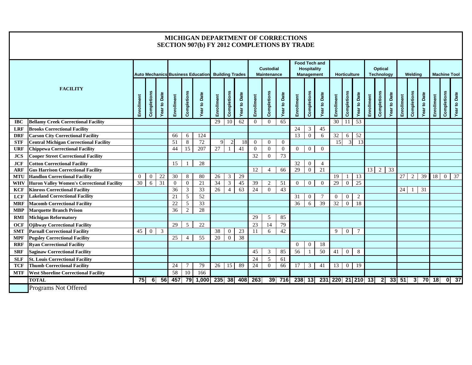|                                           |                                                                                    |                |                |                     |                 |                                                          | MICHIGAN DEPARTMENT OF CORRECTIONS<br><b>SECTION 907(b) FY 2012 COMPLETIONS BY TRADE</b> |                       |                                  |                     |                                        |                 |                                                                 |            |                |                     |                   |                |                              |            |                |                     |              |                |                     |                     |             |                   |
|-------------------------------------------|------------------------------------------------------------------------------------|----------------|----------------|---------------------|-----------------|----------------------------------------------------------|------------------------------------------------------------------------------------------|-----------------------|----------------------------------|---------------------|----------------------------------------|-----------------|-----------------------------------------------------------------|------------|----------------|---------------------|-------------------|----------------|------------------------------|------------|----------------|---------------------|--------------|----------------|---------------------|---------------------|-------------|-------------------|
|                                           |                                                                                    |                |                |                     |                 | <b>Auto Mechanics Business Education Building Trades</b> |                                                                                          |                       |                                  |                     | <b>Custodial</b><br><b>Maintenance</b> |                 | <b>Food Tech and</b><br><b>Hospitality</b><br><b>Management</b> |            |                | <b>Horticulture</b> |                   |                | Optical<br><b>Technology</b> |            |                |                     | Welding      |                |                     | <b>Machine Tool</b> |             |                   |
|                                           | <b>FACILITY</b>                                                                    | Enrollment     | Completions    | <b>Year to Date</b> | Enrollment      | Completions                                              | Year to Date                                                                             | Enrollment            | Completions                      | <b>Year to Date</b> | Enrollment                             | Completions     | <b>Year to Date</b>                                             | Enrollment | Completions    | Date<br>Year to     | Enrollment        | Completions    | Date<br>$\mathbf{S}$<br>Year | Enrollment | Completions    | <b>Year to Date</b> | Enrollment   | Completions    | <b>Year to Date</b> | Enrollment          | Completions | Year to Date      |
| <b>IBC</b>                                | <b>Bellamy Creek Correctional Facility</b>                                         |                |                |                     |                 |                                                          |                                                                                          | 29                    | 10                               | 62                  | $\Omega$                               | $\theta$        | 65                                                              |            |                |                     | $\overline{30}$   | 11             | 53                           |            |                |                     |              |                |                     |                     |             |                   |
| <b>LRF</b>                                | <b>Brooks Correctional Facility</b>                                                |                |                |                     |                 |                                                          |                                                                                          |                       |                                  |                     |                                        |                 |                                                                 | 24         | 3              | 45                  |                   |                |                              |            |                |                     |              |                |                     |                     |             |                   |
| <b>DRF</b>                                | <b>Carson City Correctional Facility</b>                                           |                |                |                     | 66              | 6                                                        | 124                                                                                      |                       |                                  |                     |                                        |                 |                                                                 | 13         | $\overline{0}$ | 6                   | 32                | 6              | $\overline{52}$              |            |                |                     |              |                |                     |                     |             |                   |
| <b>STF</b>                                | <b>Central Michigan Correctional Facility</b>                                      |                |                |                     | 51              | 8                                                        | 72                                                                                       | $\mathbf Q$           | $\overline{2}$                   | 18                  | $\Omega$                               | $\overline{0}$  | $\overline{0}$                                                  |            |                |                     | 15                | 3              | 13                           |            |                |                     |              |                |                     |                     |             |                   |
| <b>URF</b>                                | <b>Chippewa Correctional Facility</b>                                              |                |                |                     | 44              | 15                                                       | 207                                                                                      | 27                    |                                  | 41                  | $\Omega$                               | $\overline{0}$  | $\overline{0}$                                                  | $\Omega$   | $\mathbf{0}$   | $\overline{0}$      |                   |                |                              |            |                |                     |              |                |                     |                     |             |                   |
| <b>JCS</b>                                | <b>Cooper Street Correctional Facility</b>                                         |                |                |                     |                 |                                                          |                                                                                          |                       |                                  |                     | 32                                     | $\overline{0}$  | 73                                                              |            |                |                     |                   |                |                              |            |                |                     |              |                |                     |                     |             |                   |
| <b>JCF</b>                                | <b>Cotton Correctional Facility</b>                                                |                |                |                     | 15              |                                                          | 28                                                                                       |                       |                                  |                     |                                        |                 |                                                                 | 32         | $\overline{0}$ | $\overline{4}$      |                   |                |                              |            |                |                     |              |                |                     |                     |             |                   |
| <b>ARF</b>                                | <b>Gus Harrison Correctional Facility</b>                                          |                |                |                     |                 |                                                          |                                                                                          |                       |                                  |                     | 12                                     | $\overline{4}$  | 66                                                              | 29         | $\mathbf{0}$   | 21                  |                   |                |                              | 13         | 2              | $\overline{33}$     |              |                |                     |                     |             |                   |
| <b>MTU</b>                                | <b>Handlon Correctional Facility</b>                                               | $\overline{0}$ | $\overline{0}$ | 22                  | $\overline{30}$ | 8                                                        | 80                                                                                       | 26                    | $\mathfrak{Z}$                   | 29                  |                                        |                 |                                                                 |            |                |                     | 19                |                | 13                           |            |                |                     | 27           | $\overline{2}$ | $\overline{39}$     | 18                  |             | 0 37              |
| <b>WHV</b><br><b>KCF</b>                  | Huron Valley Women's Correctional Facility<br><b>Kinross Correctional Facility</b> | 30             | 6              | $\overline{31}$     | $\theta$<br>36  | $\overline{0}$<br>3                                      | 21<br>33                                                                                 | $\overline{34}$<br>26 | 3<br>$\overline{4}$              | 45<br>63            | 39<br>24                               | 2<br>$\theta$   | 51<br>43                                                        | $\Omega$   | $\mathbf{0}$   | $\theta$            | 29                | $\mathbf{0}$   | $\overline{25}$              |            |                |                     | 24           |                | 31                  |                     |             |                   |
| <b>LCF</b>                                | <b>Lakeland Correctional Facility</b>                                              |                |                |                     | 21              | 5                                                        | 52                                                                                       |                       |                                  |                     |                                        |                 |                                                                 | 31         | $\overline{0}$ |                     | $\overline{0}$    | $\theta$       | 2                            |            |                |                     |              |                |                     |                     |             |                   |
|                                           |                                                                                    |                |                |                     | 22              |                                                          | 33                                                                                       |                       |                                  |                     |                                        |                 |                                                                 | 36         |                | 39                  | 32                | $\Omega$       | $\overline{18}$              |            |                |                     |              |                |                     |                     |             |                   |
| <b>MRF</b><br><b>MBP</b>                  | <b>Macomb Correctional Facility</b><br><b>Marquette Branch Prison</b>              |                |                |                     | 36              | 5<br>2                                                   | 28                                                                                       |                       |                                  |                     |                                        |                 |                                                                 |            | 6              |                     |                   |                |                              |            |                |                     |              |                |                     |                     |             |                   |
| <b>RMI</b>                                |                                                                                    |                |                |                     |                 |                                                          |                                                                                          |                       |                                  |                     | 29                                     | 5               | 85                                                              |            |                |                     |                   |                |                              |            |                |                     |              |                |                     |                     |             |                   |
|                                           | <b>Michigan Reformatory</b>                                                        |                |                |                     |                 |                                                          |                                                                                          |                       |                                  |                     |                                        |                 |                                                                 |            |                |                     |                   |                |                              |            |                |                     |              |                |                     |                     |             |                   |
| <b>OCF</b>                                | <b>Ojibway Correctional Facility</b><br><b>Parnall Correctional Facility</b>       |                | $45 \mid 0$    | 3                   | 29              | 5                                                        | 22                                                                                       | 38                    |                                  | 23                  | 23                                     | 14<br>6         | 79<br>42                                                        |            |                |                     | 9                 | $\overline{0}$ | 7                            |            |                |                     |              |                |                     |                     |             |                   |
| <b>SMT</b><br>$\ensuremath{\mathbf{MPF}}$ | <b>Pugsley Correctional Facility</b>                                               |                |                |                     | 25              | $\overline{4}$                                           | 55                                                                                       | 20                    | $\overline{0}$<br>$\overline{0}$ | 38                  | 11                                     |                 |                                                                 |            |                |                     |                   |                |                              |            |                |                     |              |                |                     |                     |             |                   |
| <b>RRF</b>                                | <b>Ryan Correctional Facility</b>                                                  |                |                |                     |                 |                                                          |                                                                                          |                       |                                  |                     |                                        |                 |                                                                 | $\Omega$   | $\theta$       | 18                  |                   |                |                              |            |                |                     |              |                |                     |                     |             |                   |
| <b>SRF</b>                                | <b>Saginaw Correctional Facility</b>                                               |                |                |                     |                 |                                                          |                                                                                          |                       |                                  |                     | 45                                     | 3               | 85                                                              | 56         |                | 50                  | 41                | $\overline{0}$ | 8                            |            |                |                     |              |                |                     |                     |             |                   |
|                                           |                                                                                    |                |                |                     |                 |                                                          |                                                                                          |                       |                                  |                     | 24                                     | $5\overline{)}$ |                                                                 |            |                |                     |                   |                |                              |            |                |                     |              |                |                     |                     |             |                   |
| <b>SLF</b><br><b>TCF</b>                  | <b>St. Louis Correctional Facility</b><br><b>Thumb Correctional Facility</b>       |                |                |                     | 24              | 7                                                        | 79                                                                                       | 26                    | 15                               | 89                  | $\overline{24}$                        | $\mathbf{0}$    | 61<br>66                                                        | 17         | 3              | 41                  | 13                | $\mathbf{0}$   | 19                           |            |                |                     |              |                |                     |                     |             |                   |
|                                           | <b>West Shoreline Correctional Facility</b>                                        |                |                |                     | 58              | 10                                                       | 166                                                                                      |                       |                                  |                     |                                        |                 |                                                                 |            |                |                     |                   |                |                              |            |                |                     |              |                |                     |                     |             |                   |
| MTF                                       |                                                                                    |                |                |                     |                 |                                                          |                                                                                          |                       |                                  |                     |                                        |                 |                                                                 |            |                |                     |                   |                |                              |            |                |                     |              |                |                     |                     |             |                   |
|                                           | <b>TOTAL</b>                                                                       | 75I            | 6              | 56                  | 457             |                                                          | 79 1,000                                                                                 | 235 38                |                                  | $-408$              | 263                                    |                 | $39$ 716                                                        | 238 13     |                |                     | 231 220 21 210 13 |                |                              |            | $\overline{2}$ |                     | $33 \mid 51$ | 3I             |                     | 70 18               |             | $\overline{0}$ 37 |
|                                           | Programs Not Offered                                                               |                |                |                     |                 |                                                          |                                                                                          |                       |                                  |                     |                                        |                 |                                                                 |            |                |                     |                   |                |                              |            |                |                     |              |                |                     |                     |             |                   |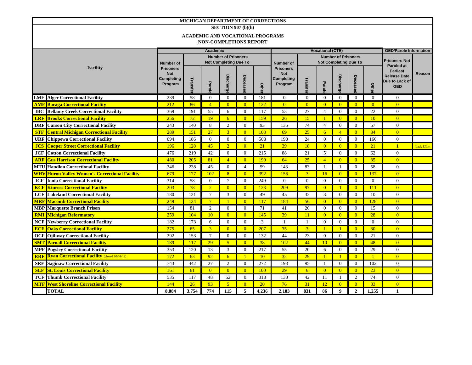|                        | MICHIGAN DEPARTMENT OF CORRECTIONS                  |                                                         |                  |                                         |                              |                |           |                                                         |                         |                               |                              |                |                |                                                                        |                    |
|------------------------|-----------------------------------------------------|---------------------------------------------------------|------------------|-----------------------------------------|------------------------------|----------------|-----------|---------------------------------------------------------|-------------------------|-------------------------------|------------------------------|----------------|----------------|------------------------------------------------------------------------|--------------------|
|                        |                                                     |                                                         |                  |                                         | SECTION 907 (b)(h)           |                |           |                                                         |                         |                               |                              |                |                |                                                                        |                    |
|                        |                                                     |                                                         |                  | <b>ACADEMIC AND VOCATIONAL PROGRAMS</b> |                              |                |           |                                                         |                         |                               |                              |                |                |                                                                        |                    |
|                        |                                                     |                                                         |                  | <b>NON-COMPLETIONS REPORT</b>           |                              |                |           |                                                         |                         |                               |                              |                |                |                                                                        |                    |
|                        |                                                     |                                                         | <b>Academic</b>  |                                         |                              |                |           |                                                         | <b>Vocational (CTE)</b> | <b>GED/Parole Information</b> |                              |                |                |                                                                        |                    |
|                        |                                                     | <b>Number of Prisoners</b>                              |                  |                                         |                              |                |           |                                                         |                         | <b>Prisoners Not</b>          |                              |                |                |                                                                        |                    |
|                        |                                                     | <b>Number of</b>                                        |                  |                                         | <b>Not Completing Due To</b> |                |           | Number of                                               |                         |                               | <b>Not Completing Due To</b> |                |                | <b>Paroled at</b>                                                      |                    |
|                        | <b>Facility</b>                                     | <b>Prisoners</b><br><b>Not</b><br>Completing<br>Program | Transf<br>Parole |                                         | <b>Discharge</b>             | Decease        |           | <b>Prisoners</b><br><b>Not</b><br>Completing<br>Program | Transfe                 | Parole                        | <b>Discharge</b>             | Decease        | Othe           | <b>Earliest</b><br><b>Release Date</b><br>Due to Lack of<br><b>GED</b> | Reason             |
| <b>LMF</b>             | <b>Alger Correctional Facility</b>                  | 239                                                     | 58               | $\theta$                                | $\Omega$                     | $\theta$       | 181       | $\overline{0}$                                          | $\Omega$                | $\mathbf{0}$                  | $\mathbf{0}$                 | $\overline{0}$ | $\theta$       | $\overline{0}$                                                         |                    |
| AMF                    | <b>Baraga Correctional Facility</b>                 | 212                                                     | 86               | $\overline{4}$                          | $\overline{0}$               | $\overline{0}$ | 122       | $\overline{0}$                                          | $\overline{0}$          | $\overline{0}$                | $\overline{0}$               | $\overline{0}$ | $\overline{0}$ | $\overline{0}$                                                         |                    |
| <b>IBC</b>             | <b>Bellamy Creek Correctional Facility</b>          | 369                                                     | 191              | 55                                      | 6                            | $\Omega$       | 117       | 53                                                      | 27                      | $\overline{4}$                | $\mathbf{0}$                 | $\mathbf{0}$   | 22             | $\overline{0}$                                                         |                    |
| <b>LRF</b>             | <b>Brooks Correctional Facility</b>                 | 256                                                     | 72               | 19                                      | 6                            | $\overline{0}$ | 159       | 26                                                      | 15                      | $\blacksquare$                | $\overline{0}$               | $\overline{0}$ | <sup>10</sup>  | $\overline{0}$                                                         |                    |
| <b>DRF</b>             | <b>Carson City Correctional Facility</b>            | 243                                                     | 140              | 8                                       | 2                            | $\Omega$       | 93        | 135                                                     | 74                      | $\overline{4}$                | $\mathbf{0}$                 | $\overline{0}$ | 57             | $\overline{0}$                                                         |                    |
| <b>STF</b>             | <b>Central Michigan Correctional Facility</b>       | 289                                                     | 151              | 27                                      | $\overline{3}$               | $\overline{0}$ | 108       | 69                                                      | 25                      | 6                             | $\overline{4}$               | $\overline{0}$ | 34             | $\overline{0}$                                                         |                    |
| <b>URF</b>             | <b>Chippewa Correctional Facility</b>               | 694                                                     | 186              | $\overline{0}$                          | $\theta$                     | $\overline{0}$ | 508       | 190                                                     | 24                      | $\overline{0}$                | $\mathbf{0}$                 | $\overline{0}$ | 166            | $\mathbf{0}$                                                           |                    |
| <b>JCS</b>             | <b>Cooper Street Correctional Facility</b>          | 196                                                     | <b>128</b>       | 45                                      | $\overline{2}$               | $\overline{0}$ | 21        | 39                                                      | 18                      | $\overline{0}$                | $\overline{0}$               | $\overline{0}$ | 21             | $\mathbf{1}$                                                           | <b>Lack Effort</b> |
| <b>JCF</b>             | <b>Cotton Correctional Facility</b>                 | 476                                                     | 219              | 42                                      | $\overline{0}$               | $\Omega$       | 215       | 88                                                      | 21                      | 5                             | $\boldsymbol{0}$             | $\overline{0}$ | 62             | $\overline{0}$                                                         |                    |
| <b>ARF</b>             | <b>Gus Harrison Correctional Facility</b>           | 480                                                     | 205              | 81                                      | $\overline{4}$               | $\overline{0}$ | 190       | 64                                                      | 25                      | $\overline{4}$                | $\overline{0}$               | $\overline{0}$ | 35             | $\overline{0}$                                                         |                    |
| MTU                    | <b>Handlon Correctional Facility</b>                | 346                                                     | 238              | 45                                      | $\theta$                     | $\overline{4}$ | 59        | 143                                                     | 83                      | $\overline{1}$                | $\mathbf{1}$                 | $\overline{0}$ | 58             | $\overline{0}$                                                         |                    |
| $\mathbf{W}\mathbf{H}$ | <b>Huron Valley Women's Correctional Facility</b>   | 679                                                     | 177              | 102                                     | $\overline{8}$               | $\overline{0}$ | 392       | 156                                                     | $\overline{3}$          | 16                            | $\overline{0}$               | $\overline{0}$ | 137            | $\overline{0}$                                                         |                    |
| <b>ICF</b>             | <b>Ionia Correctional Facility</b>                  | 314                                                     | 58               | $\Omega$                                | $7\phantom{.0}$              | $\Omega$       | 249       | $\overline{0}$                                          | $\theta$                | $\Omega$                      | $\mathbf{0}$                 | $\overline{0}$ | $\theta$       | $\overline{0}$                                                         |                    |
| KCF                    | <b>Kinross Correctional Facility</b>                | 203                                                     | 78               | $\overline{2}$                          | $\overline{0}$               | $\overline{0}$ | 123       | 209                                                     | 97                      | $\overline{0}$                | $\mathbf{1}$                 | $\overline{0}$ | 111            | $\overline{0}$                                                         |                    |
| <b>LCF</b>             | <b>Lakeland Correctional Facility</b>               | 180                                                     | 121              | $7\phantom{.0}$                         | 3                            | $\Omega$       | 49        | 45                                                      | 32                      | 3                             | $\mathbf{0}$                 | $\overline{0}$ | 10             | $\overline{0}$                                                         |                    |
| <b>MRF</b>             | <b>Macomb Correctional Facility</b>                 | 249                                                     | 124              | $7\phantom{.0}$                         |                              | $\overline{0}$ | 117       | 184                                                     | 56                      | $\overline{0}$                | $\overline{0}$               | $\overline{0}$ | 128            | $\overline{0}$                                                         |                    |
|                        | <b>MBP</b> Marquette Branch Prison                  | 154                                                     | 81               | $\mathfrak{2}$                          | $\Omega$                     | $\Omega$       | 71        | 41                                                      | 26                      | $\theta$                      | $\mathbf{0}$                 | $\Omega$       | 15             | $\overline{0}$                                                         |                    |
| <b>RMI</b>             | <b>Michigan Reformatory</b>                         | 259                                                     | 104              | 10                                      | $\overline{0}$               | $\Omega$       | 145       | 39                                                      | 11                      | $\overline{0}$                | $\overline{0}$               | $\overline{0}$ | 28             | $\overline{0}$                                                         |                    |
| <b>NCF</b>             | <b>Newberry Correctional Facility</b>               | 182                                                     | 173              | 6                                       | $\overline{0}$               | $\overline{0}$ | 3         | $\mathbf{1}$                                            | -1                      | $\overline{0}$                | $\boldsymbol{0}$             | $\overline{0}$ | $\overline{0}$ | $\mathbf{0}$                                                           |                    |
| <b>ECF</b>             | <b>Oaks Correctional Facility</b>                   | 275                                                     | 65               | $\overline{3}$                          | $\overline{0}$               | $\overline{0}$ | 207       | 35                                                      | $\overline{3}$          | $\blacksquare$                | $\mathbf{1}$                 | $\overline{0}$ | 30             | $\overline{0}$                                                         |                    |
| <b>OCF</b>             | <b>Ojibway Correctional Facility</b>                | 292                                                     | 153              | $\tau$                                  | $\overline{0}$               | $\Omega$       | 132       | 44                                                      | 23                      | $\theta$                      | $\overline{0}$               | $\theta$       | 21             | $\theta$                                                               |                    |
| <b>SMT</b>             | <b>Parnall Correctional Facility</b>                | 189                                                     | 117              | 29                                      | 5 <sup>5</sup>               | $\overline{0}$ | 38        | 102                                                     | 44                      | 10                            | $\overline{0}$               | $\overline{0}$ | 48             | $\overline{0}$                                                         |                    |
| <b>MPF</b>             | <b>Pugsley Correctional Facility</b>                | 353                                                     | 120              | 13                                      | 3                            | $\theta$       | 217       | 55                                                      | 20                      | 6                             | $\mathbf{0}$                 | $\mathbf{0}$   | 29             | $\overline{0}$                                                         |                    |
| <b>RRF</b>             | <b>Ryan Correctional Facility (closed 10/01/12)</b> | 172                                                     | 63               | 92                                      | 6                            | $\vert$        | 10        | 32                                                      | 29                      | $\blacksquare$                | $\mathbf{1}$                 | $\overline{0}$ | $\overline{1}$ | $\overline{0}$                                                         |                    |
| <b>SRF</b>             | <b>Saginaw Correctional Facility</b>                | 743                                                     | 442              | 27                                      | $\overline{2}$               | $\overline{0}$ | 272       | 198                                                     | 95                      | $\mathbf{1}$                  | $\mathbf{0}$                 | $\overline{0}$ | 102            | $\overline{0}$                                                         |                    |
| <b>SLF</b>             | <b>St. Louis Correctional Facility</b>              | 161                                                     | 61               | $\overline{0}$                          | $\overline{0}$               | $\overline{0}$ | 100       | 29                                                      | 6                       | $\overline{0}$                | $\overline{0}$               | $\overline{0}$ | 23             | $\overline{0}$                                                         |                    |
| <b>TCF</b>             | <b>Thumb Correctional Facility</b>                  | 535                                                     | 117              | 48                                      | 52                           | $\overline{0}$ | 318       | 130                                                     | 42                      | 11                            | -1                           | 2              | 74             | $\overline{0}$                                                         |                    |
| <b>MTF</b>             | <b>West Shoreline Correctional Facility</b>         | 144                                                     | 26               | 93                                      | 5 <sup>5</sup>               | $\overline{0}$ | <b>20</b> | 76                                                      | 31                      | 12                            | $\overline{0}$               | $\overline{0}$ | 33             | $\overline{0}$                                                         |                    |
|                        | <b>TOTAL</b>                                        | 8,884                                                   | 3,754            | 774                                     | 115                          | 5              | 4,236     | 2,183                                                   | 831                     | 86                            | $\boldsymbol{9}$             | $\overline{2}$ | 1,255          | $\mathbf{1}$                                                           |                    |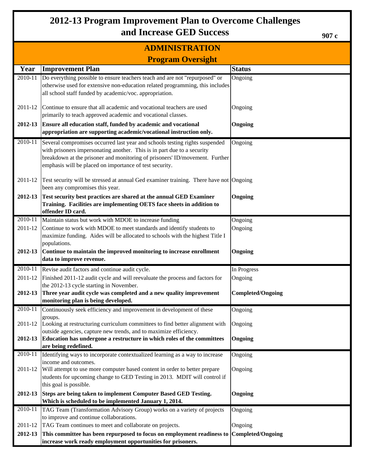### **2012-13 Program Improvement Plan to Overcome Challenges and Increase GED Success**

### **ADMINISTRATION**

**907 c**

|         | <b>Program Oversight</b>                                                                                                                                  |                          |  |  |  |  |  |  |
|---------|-----------------------------------------------------------------------------------------------------------------------------------------------------------|--------------------------|--|--|--|--|--|--|
| Year    | <b>Improvement Plan</b>                                                                                                                                   | <b>Status</b>            |  |  |  |  |  |  |
| 2010-11 | Do everything possible to ensure teachers teach and are not "repurposed" or                                                                               | Ongoing                  |  |  |  |  |  |  |
|         | otherwise used for extensive non-education related programming, this includes<br>all school staff funded by academic/voc. appropriation.                  |                          |  |  |  |  |  |  |
|         |                                                                                                                                                           |                          |  |  |  |  |  |  |
| 2011-12 | Continue to ensure that all academic and vocational teachers are used                                                                                     | Ongoing                  |  |  |  |  |  |  |
|         | primarily to teach approved academic and vocational classes.                                                                                              |                          |  |  |  |  |  |  |
| 2012-13 | Ensure all education staff, funded by academic and vocational                                                                                             | Ongoing                  |  |  |  |  |  |  |
|         | appropriation are supporting academic/vocational instruction only.                                                                                        |                          |  |  |  |  |  |  |
| 2010-11 | Several compromises occurred last year and schools testing rights suspended                                                                               | Ongoing                  |  |  |  |  |  |  |
|         | with prisoners impersonating another. This is in part due to a security                                                                                   |                          |  |  |  |  |  |  |
|         | breakdown at the prisoner and monitoring of prisoners' ID/movement. Further<br>emphasis will be placed on importance of test security.                    |                          |  |  |  |  |  |  |
|         |                                                                                                                                                           |                          |  |  |  |  |  |  |
| 2011-12 | Test security will be stressed at annual Ged examiner training. There have not Ongoing                                                                    |                          |  |  |  |  |  |  |
|         | been any compromises this year.                                                                                                                           |                          |  |  |  |  |  |  |
| 2012-13 | Test security best practices are shared at the annual GED Examiner                                                                                        | Ongoing                  |  |  |  |  |  |  |
|         | Training. Facilities are implementing OETS face sheets in addition to<br>offender ID card.                                                                |                          |  |  |  |  |  |  |
| 2010-11 | Maintain status but work with MDOE to increase funding                                                                                                    | Ongoing                  |  |  |  |  |  |  |
| 2011-12 | Continue to work with MDOE to meet standards and identify students to                                                                                     | Ongoing                  |  |  |  |  |  |  |
|         | maximize funding. Aides will be allocated to schools with the highest Title I                                                                             |                          |  |  |  |  |  |  |
|         | populations.                                                                                                                                              |                          |  |  |  |  |  |  |
| 2012-13 | Continue to maintain the improved monitoring to increase enrollment                                                                                       | Ongoing                  |  |  |  |  |  |  |
|         | data to improve revenue.                                                                                                                                  |                          |  |  |  |  |  |  |
| 2010-11 | Revise audit factors and continue audit cycle.                                                                                                            | In Progress              |  |  |  |  |  |  |
| 2011-12 | Finished 2011-12 audit cycle and will reevaluate the process and factors for                                                                              | Ongoing                  |  |  |  |  |  |  |
| 2012-13 | the 2012-13 cycle starting in November.<br>Three year audit cycle was completed and a new quality improvement                                             | <b>Completed/Ongoing</b> |  |  |  |  |  |  |
|         | monitoring plan is being developed.                                                                                                                       |                          |  |  |  |  |  |  |
| 2010-11 | Continuously seek efficiency and improvement in development of these                                                                                      | Ongoing                  |  |  |  |  |  |  |
|         | groups.                                                                                                                                                   |                          |  |  |  |  |  |  |
|         | 2011-12 Looking at restructuring curriculum committees to find better alignment with<br>outside agencies, capture new trends, and to maximize efficiency. | Ongoing                  |  |  |  |  |  |  |
| 2012-13 | Education has undergone a restructure in which roles of the committees                                                                                    | Ongoing                  |  |  |  |  |  |  |
|         | are being redefined.                                                                                                                                      |                          |  |  |  |  |  |  |
| 2010-11 | Identifying ways to incorporate contextualized learning as a way to increase                                                                              | Ongoing                  |  |  |  |  |  |  |
| 2011-12 | income and outcomes.<br>Will attempt to use more computer based content in order to better prepare                                                        | Ongoing                  |  |  |  |  |  |  |
|         | students for upcoming change to GED Testing in 2013. MDIT will control if                                                                                 |                          |  |  |  |  |  |  |
|         | this goal is possible.                                                                                                                                    |                          |  |  |  |  |  |  |
| 2012-13 | Steps are being taken to implement Computer Based GED Testing.                                                                                            | Ongoing                  |  |  |  |  |  |  |
|         | Which is scheduled to be implemented January 1, 2014.                                                                                                     |                          |  |  |  |  |  |  |
| 2010-11 | TAG Team (Transformation Advisory Group) works on a variety of projects                                                                                   | Ongoing                  |  |  |  |  |  |  |
|         | to improve and continue collaborations.                                                                                                                   |                          |  |  |  |  |  |  |
| 2011-12 | TAG Team continues to meet and collaborate on projects.                                                                                                   | Ongoing                  |  |  |  |  |  |  |
| 2012-13 | This committee has been repurposed to focus on employment readiness to Completed/Ongoing<br>increase work ready employment opportunities for prisoners.   |                          |  |  |  |  |  |  |
|         |                                                                                                                                                           |                          |  |  |  |  |  |  |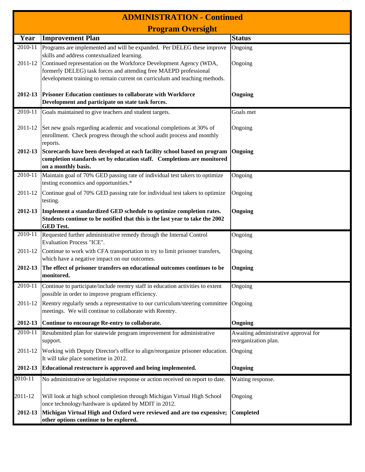|                    | <b>ADMINISTRATION - Continued</b>                                                                                                                                                                                                                                |                                                              |  |  |  |  |  |  |
|--------------------|------------------------------------------------------------------------------------------------------------------------------------------------------------------------------------------------------------------------------------------------------------------|--------------------------------------------------------------|--|--|--|--|--|--|
|                    | <b>Program Oversight</b>                                                                                                                                                                                                                                         |                                                              |  |  |  |  |  |  |
| Year               | <b>Improvement Plan</b>                                                                                                                                                                                                                                          | <b>Status</b>                                                |  |  |  |  |  |  |
| 2010-11<br>2011-12 | Programs are implemented and will be expanded. Per DELEG these improve<br>skills and address contextualized learning.<br>Continued representation on the Workforce Development Agency (WDA,<br>formerly DELEG) task forces and attending free MAEPD professional | Ongoing<br>Ongoing                                           |  |  |  |  |  |  |
| 2012-13            | development training to remain current on curriculum and teaching methods.<br>Prisoner Education continues to collaborate with Workforce<br>Development and participate on state task forces.                                                                    | Ongoing                                                      |  |  |  |  |  |  |
| 2010-11            | Goals maintained to give teachers and student targets.                                                                                                                                                                                                           | Goals met                                                    |  |  |  |  |  |  |
| 2011-12            | Set new goals regarding academic and vocational completions at 30% of<br>enrollment. Check progress through the school audit process and monthly<br>reports.                                                                                                     | Ongoing                                                      |  |  |  |  |  |  |
| 2012-13            | Scorecards have been developed at each facility school based on program<br>completion standards set by education staff. Completions are monitored<br>on a monthly basis.                                                                                         | Ongoing                                                      |  |  |  |  |  |  |
| 2010-11            | Maintain goal of 70% GED passing rate of individual test takers to optimize<br>testing economics and opportunities.*                                                                                                                                             | Ongoing                                                      |  |  |  |  |  |  |
| 2011-12            | Continue goal of 70% GED passing rate for individual test takers to optimize<br>testing.                                                                                                                                                                         | Ongoing                                                      |  |  |  |  |  |  |
| 2012-13            | Implement a standardized GED schedule to optimize completion rates.<br>Students continue to be notified that this is the last year to take the 2002<br><b>GED Test.</b>                                                                                          | Ongoing                                                      |  |  |  |  |  |  |
| 2010-11            | Requested further administrative remedy through the Internal Control<br><b>Evaluation Process "ICE".</b>                                                                                                                                                         | Ongoing                                                      |  |  |  |  |  |  |
| 2011-12            | Continue to work with CFA transportation to try to limit prisoner transfers,<br>which have a negative impact on our outcomes.                                                                                                                                    | Ongoing                                                      |  |  |  |  |  |  |
| 2012-13            | The effect of prisoner transfers on educational outcomes continues to be<br>monitored.                                                                                                                                                                           | Ongoing                                                      |  |  |  |  |  |  |
| 2010-11            | Continue to participate/include reentry staff in education activities to extent<br>possible in order to improve program efficiency.                                                                                                                              | Ongoing                                                      |  |  |  |  |  |  |
| 2011-12            | Reentry regularly sends a representative to our curriculum/steering committee<br>meetings. We will continue to collaborate with Reentry.                                                                                                                         | Ongoing                                                      |  |  |  |  |  |  |
| 2012-13            | Continue to encourage Re-entry to collaborate.                                                                                                                                                                                                                   | Ongoing                                                      |  |  |  |  |  |  |
| 2010-11            | Resubmitted plan for statewide program improvement for administrative<br>support.                                                                                                                                                                                | Awaiting administrative approval for<br>reorganization plan. |  |  |  |  |  |  |
| 2011-12            | Working with Deputy Director's office to align/reorganize prisoner education.<br>It will take place sometime in 2012.                                                                                                                                            | Ongoing                                                      |  |  |  |  |  |  |
| 2012-13            | Educational restructure is approved and being implemented.                                                                                                                                                                                                       | Ongoing                                                      |  |  |  |  |  |  |
| 2010-11            | No administrative or legislative response or action received on report to date.                                                                                                                                                                                  | Waiting response.                                            |  |  |  |  |  |  |
| 2011-12            | Will look at high school completion through Michigan Virtual High School<br>once technology/hardware is updated by MDIT in 2012.                                                                                                                                 | Ongoing                                                      |  |  |  |  |  |  |
| 2012-13            | Michigan Virtual High and Oxford were reviewed and are too expensive;<br>other options continue to be explored.                                                                                                                                                  | <b>Completed</b>                                             |  |  |  |  |  |  |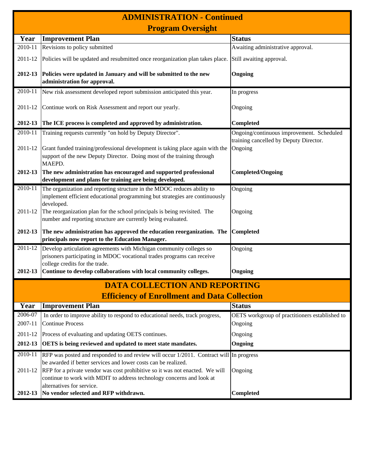| <b>ADMINISTRATION - Continued</b> |                                                                                                                                                                                                                         |                                                                                     |  |  |  |  |  |
|-----------------------------------|-------------------------------------------------------------------------------------------------------------------------------------------------------------------------------------------------------------------------|-------------------------------------------------------------------------------------|--|--|--|--|--|
|                                   | <b>Program Oversight</b>                                                                                                                                                                                                |                                                                                     |  |  |  |  |  |
| Year                              | <b>Improvement Plan</b>                                                                                                                                                                                                 | <b>Status</b>                                                                       |  |  |  |  |  |
| 2010-11                           | Revisions to policy submitted                                                                                                                                                                                           | Awaiting administrative approval.                                                   |  |  |  |  |  |
| 2011-12                           | Policies will be updated and resubmitted once reorganization plan takes place.                                                                                                                                          | Still awaiting approval.                                                            |  |  |  |  |  |
| 2012-13                           | Policies were updated in January and will be submitted to the new<br>administration for approval.                                                                                                                       | Ongoing                                                                             |  |  |  |  |  |
| 2010-11                           | New risk assessment developed report submission anticipated this year.                                                                                                                                                  | In progress                                                                         |  |  |  |  |  |
| 2011-12                           | Continue work on Risk Assessment and report our yearly.                                                                                                                                                                 | Ongoing                                                                             |  |  |  |  |  |
| 2012-13                           | The ICE process is completed and approved by administration.                                                                                                                                                            | Completed                                                                           |  |  |  |  |  |
| 2010-11                           | Training requests currently "on hold by Deputy Director".                                                                                                                                                               | Ongoing/continuous improvement. Scheduled<br>training cancelled by Deputy Director. |  |  |  |  |  |
| 2011-12                           | Grant funded training/professional development is taking place again with the<br>support of the new Deputy Director. Doing most of the training through<br>MAEPD.                                                       | Ongoing                                                                             |  |  |  |  |  |
| 2012-13                           | The new administration has encouraged and supported professional<br>development and plans for training are being developed.                                                                                             | <b>Completed/Ongoing</b>                                                            |  |  |  |  |  |
| 2010-11                           | The organization and reporting structure in the MDOC reduces ability to<br>implement efficient educational programming but strategies are continuously<br>developed.                                                    | Ongoing                                                                             |  |  |  |  |  |
| 2011-12                           | The reorganization plan for the school principals is being revisited. The<br>number and reporting structure are currently being evaluated.                                                                              | Ongoing                                                                             |  |  |  |  |  |
| 2012-13                           | The new administration has approved the education reorganization. The<br>principals now report to the Education Manager.                                                                                                | Completed                                                                           |  |  |  |  |  |
| 2011-12                           | Develop articulation agreements with Michigan community colleges so                                                                                                                                                     | Ongoing                                                                             |  |  |  |  |  |
|                                   | prisoners participating in MDOC vocational trades programs can receive<br>college credits for the trade.                                                                                                                |                                                                                     |  |  |  |  |  |
| 2012-13                           | Continue to develop collaborations with local community colleges.                                                                                                                                                       | Ongoing                                                                             |  |  |  |  |  |
|                                   | <b>DATA COLLECTION AND REPORTING</b>                                                                                                                                                                                    |                                                                                     |  |  |  |  |  |
|                                   | <b>Efficiency of Enrollment and Data Collection</b>                                                                                                                                                                     |                                                                                     |  |  |  |  |  |
| Year                              | <b>Improvement Plan</b>                                                                                                                                                                                                 | <b>Status</b>                                                                       |  |  |  |  |  |
| 2006-07                           | In order to improve ability to respond to educational needs, track progress,                                                                                                                                            | OETS workgroup of practitioners established to                                      |  |  |  |  |  |
| 2007-11                           | <b>Continue Process</b>                                                                                                                                                                                                 | Ongoing                                                                             |  |  |  |  |  |
| 2011-12                           | Process of evaluating and updating OETS continues.                                                                                                                                                                      | Ongoing                                                                             |  |  |  |  |  |
| 2012-13                           | <b>OETS</b> is being reviewed and updated to meet state mandates.                                                                                                                                                       | Ongoing                                                                             |  |  |  |  |  |
| 2010-11                           | RFP was posted and responded to and review will occur 1/2011. Contract will In progress                                                                                                                                 |                                                                                     |  |  |  |  |  |
| 2011-12                           | be awarded if better services and lower costs can be realized.<br>RFP for a private vendor was cost prohibitive so it was not enacted. We will<br>continue to work with MDIT to address technology concerns and look at | Ongoing                                                                             |  |  |  |  |  |
| 2012-13                           | alternatives for service.<br>No vendor selected and RFP withdrawn.                                                                                                                                                      | <b>Completed</b>                                                                    |  |  |  |  |  |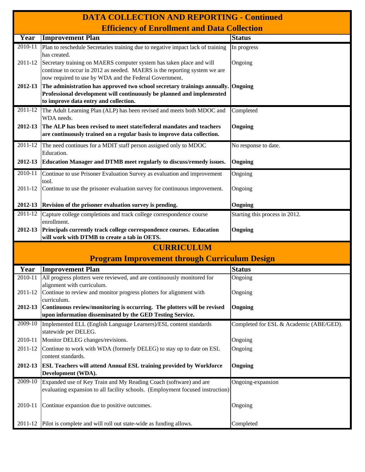| <b>DATA COLLECTION AND REPORTING - Continued</b> |                                                                                                                                                                                                             |                                         |  |  |  |  |  |
|--------------------------------------------------|-------------------------------------------------------------------------------------------------------------------------------------------------------------------------------------------------------------|-----------------------------------------|--|--|--|--|--|
|                                                  | <b>Efficiency of Enrollment and Data Collection</b>                                                                                                                                                         |                                         |  |  |  |  |  |
| Year                                             | <b>Improvement Plan</b>                                                                                                                                                                                     | <b>Status</b>                           |  |  |  |  |  |
| $2010 - 11$                                      | Plan to reschedule Secretaries training due to negative impact lack of training<br>has created.                                                                                                             | In progress                             |  |  |  |  |  |
| 2011-12                                          | Secretary training on MAERS computer system has taken place and will<br>continue to occur in 2012 as needed. MAERS is the reporting system we are<br>now required to use by WDA and the Federal Government. | Ongoing                                 |  |  |  |  |  |
| 2012-13                                          | The administration has approved two school secretary trainings annually. Ongoing<br>Professional development will continuously be planned and implemented<br>to improve data entry and collection.          |                                         |  |  |  |  |  |
| $2011 - 12$                                      | The Adult Learning Plan (ALP) has been revised and meets both MDOC and                                                                                                                                      | Completed                               |  |  |  |  |  |
|                                                  | WDA needs.                                                                                                                                                                                                  |                                         |  |  |  |  |  |
| 2012-13                                          | The ALP has been revised to meet state/federal mandates and teachers<br>are continuously trained on a regular basis to improve data collection.                                                             | Ongoing                                 |  |  |  |  |  |
| 2011-12                                          | The need continues for a MDIT staff person assigned only to MDOC<br>Education.                                                                                                                              | No response to date.                    |  |  |  |  |  |
| 2012-13                                          | Education Manager and DTMB meet regularly to discuss/remedy issues.                                                                                                                                         | Ongoing                                 |  |  |  |  |  |
| 2010-11                                          | Continue to use Prisoner Evaluation Survey as evaluation and improvement<br>tool.                                                                                                                           | Ongoing                                 |  |  |  |  |  |
| 2011-12                                          | Continue to use the prisoner evaluation survey for continuous improvement.                                                                                                                                  | Ongoing                                 |  |  |  |  |  |
|                                                  | 2012-13 Revision of the prisoner evaluation survey is pending.                                                                                                                                              | Ongoing                                 |  |  |  |  |  |
| 2011-12                                          | Capture college completions and track college correspondence course<br>enrollment.                                                                                                                          | Starting this process in 2012.          |  |  |  |  |  |
| 2012-13                                          | Principals currently track college correspondence courses. Education<br>will work with DTMB to create a tab in OETS.                                                                                        | Ongoing                                 |  |  |  |  |  |
|                                                  | <b>CURRICULUM</b>                                                                                                                                                                                           |                                         |  |  |  |  |  |
|                                                  | <b>Program Improvement through Curriculum Design</b>                                                                                                                                                        |                                         |  |  |  |  |  |
| Year                                             | <b>Improvement Plan</b>                                                                                                                                                                                     | <b>Status</b>                           |  |  |  |  |  |
| 2010-11                                          | All progress plotters were reviewed, and are continuously monitored for<br>alignment with curriculum.                                                                                                       | Ongoing                                 |  |  |  |  |  |
| 2011-12                                          | Continue to review and monitor progress plotters for alignment with<br>curriculum.                                                                                                                          | Ongoing                                 |  |  |  |  |  |
| 2012-13                                          | Continuous review/monitoring is occurring. The plotters will be revised<br>upon information disseminated by the GED Testing Service.                                                                        | Ongoing                                 |  |  |  |  |  |
| 2009-10                                          | Implemented ELL (English Language Learners)/ESL content standards                                                                                                                                           | Completed for ESL & Academic (ABE/GED). |  |  |  |  |  |
|                                                  | statewide per DELEG.                                                                                                                                                                                        |                                         |  |  |  |  |  |
| 2010-11                                          | Monitor DELEG changes/revisions.                                                                                                                                                                            | Ongoing                                 |  |  |  |  |  |
| 2011-12                                          | Continue to work with WDA (formerly DELEG) to stay up to date on ESL<br>content standards.                                                                                                                  | Ongoing                                 |  |  |  |  |  |
| 2012-13                                          | <b>ESL Teachers will attend Annual ESL training provided by Workforce</b><br>Development (WDA).                                                                                                             | Ongoing                                 |  |  |  |  |  |
| 2009-10                                          | Expanded use of Key Train and My Reading Coach (software) and are<br>evaluating expansion to all facility schools. (Employment focused instruction)                                                         | Ongoing-expansion                       |  |  |  |  |  |
| 2010-11                                          | Continue expansion due to positive outcomes.                                                                                                                                                                | Ongoing                                 |  |  |  |  |  |
| 2011-12                                          | Pilot is complete and will roll out state-wide as funding allows.                                                                                                                                           | Completed                               |  |  |  |  |  |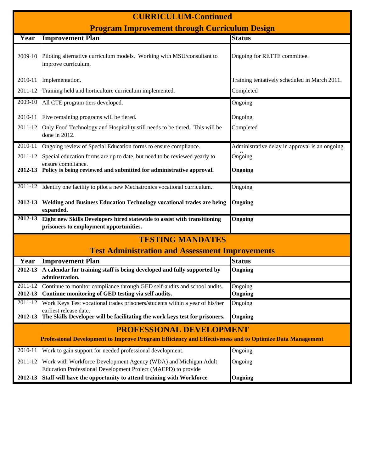|         | <b>CURRICULUM-Continued</b>                                                                                                                 |                                                |  |  |  |  |  |  |
|---------|---------------------------------------------------------------------------------------------------------------------------------------------|------------------------------------------------|--|--|--|--|--|--|
|         | <b>Program Improvement through Curriculum Design</b>                                                                                        |                                                |  |  |  |  |  |  |
| Year    | <b>Improvement Plan</b>                                                                                                                     | <b>Status</b>                                  |  |  |  |  |  |  |
| 2009-10 | Piloting alternative curriculum models. Working with MSU/consultant to<br>improve curriculum.                                               | Ongoing for RETTE committee.                   |  |  |  |  |  |  |
| 2010-11 | Implementation.                                                                                                                             | Training tentatively scheduled in March 2011.  |  |  |  |  |  |  |
| 2011-12 | Training held and horticulture curriculum implemented.                                                                                      | Completed                                      |  |  |  |  |  |  |
| 2009-10 | All CTE program tiers developed.                                                                                                            | Ongoing                                        |  |  |  |  |  |  |
| 2010-11 | Five remaining programs will be tiered.                                                                                                     | Ongoing                                        |  |  |  |  |  |  |
| 2011-12 | Only Food Technology and Hospitality still needs to be tiered. This will be<br>done in 2012.                                                | Completed                                      |  |  |  |  |  |  |
| 2010-11 | Ongoing review of Special Education forms to ensure compliance.                                                                             | Administrative delay in approval is an ongoing |  |  |  |  |  |  |
| 2011-12 | Special education forms are up to date, but need to be reviewed yearly to                                                                   | $\overline{O}$ ngoing                          |  |  |  |  |  |  |
| 2012-13 | ensure compliance.<br>Policy is being reviewed and submitted for administrative approval.                                                   | Ongoing                                        |  |  |  |  |  |  |
| 2011-12 | Identify one facility to pilot a new Mechatronics vocational curriculum.                                                                    | Ongoing                                        |  |  |  |  |  |  |
| 2012-13 | <b>Welding and Business Education Technology vocational trades are being</b><br>expanded.                                                   | Ongoing                                        |  |  |  |  |  |  |
| 2012-13 | Eight new Skills Developers hired statewide to assist with transitioning<br>prisoners to employment opportunities.                          | Ongoing                                        |  |  |  |  |  |  |
|         | <b>TESTING MANDATES</b>                                                                                                                     |                                                |  |  |  |  |  |  |
|         | <b>Test Administration and Assessment Improvements</b>                                                                                      |                                                |  |  |  |  |  |  |
| Year    | <b>Improvement Plan</b>                                                                                                                     | <b>Status</b>                                  |  |  |  |  |  |  |
| 2012-13 | A calendar for training staff is being developed and fully supported by<br>adminstration.                                                   | Ongoing                                        |  |  |  |  |  |  |
| 2011-12 | Continue to monitor compliance through GED self-audits and school audits.                                                                   | Ongoing                                        |  |  |  |  |  |  |
| 2012-13 | Continue monitoring of GED testing via self audits.                                                                                         | Ongoing                                        |  |  |  |  |  |  |
| 2011-12 | Work Keys Test vocational trades prisoners/students within a year of his/her<br>earliest release date.                                      | Ongoing                                        |  |  |  |  |  |  |
| 2012-13 | The Skills Developer will be facilitating the work keys test for prisoners.                                                                 | Ongoing                                        |  |  |  |  |  |  |
|         | <b>PROFESSIONAL DEVELOPMENT</b><br>Professional Development to Improve Program Efficiency and Effectiveness and to Optimize Data Management |                                                |  |  |  |  |  |  |
| 2010-11 | Work to gain support for needed professional development.                                                                                   | Ongoing                                        |  |  |  |  |  |  |
| 2011-12 | Work with Workforce Development Agency (WDA) and Michigan Adult<br>Education Professional Development Project (MAEPD) to provide            | Ongoing                                        |  |  |  |  |  |  |
| 2012-13 | Staff will have the opportunity to attend training with Workforce                                                                           | Ongoing                                        |  |  |  |  |  |  |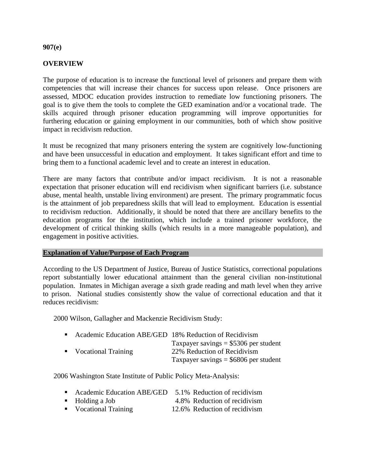#### **907(e)**

#### **OVERVIEW**

The purpose of education is to increase the functional level of prisoners and prepare them with competencies that will increase their chances for success upon release. Once prisoners are assessed, MDOC education provides instruction to remediate low functioning prisoners. The goal is to give them the tools to complete the GED examination and/or a vocational trade. The skills acquired through prisoner education programming will improve opportunities for furthering education or gaining employment in our communities, both of which show positive impact in recidivism reduction.

It must be recognized that many prisoners entering the system are cognitively low-functioning and have been unsuccessful in education and employment. It takes significant effort and time to bring them to a functional academic level and to create an interest in education.

There are many factors that contribute and/or impact recidivism. It is not a reasonable expectation that prisoner education will end recidivism when significant barriers (i.e. substance abuse, mental health, unstable living environment) are present. The primary programmatic focus is the attainment of job preparedness skills that will lead to employment. Education is essential to recidivism reduction. Additionally, it should be noted that there are ancillary benefits to the education programs for the institution, which include a trained prisoner workforce, the development of critical thinking skills (which results in a more manageable population), and engagement in positive activities.

#### **Explanation of Value/Purpose of Each Program**

According to the US Department of Justice, Bureau of Justice Statistics, correctional populations report substantially lower educational attainment than the general civilian non-institutional population. Inmates in Michigan average a sixth grade reading and math level when they arrive to prison. National studies consistently show the value of correctional education and that it reduces recidivism:

2000 Wilson, Gallagher and Mackenzie Recidivism Study:

| . . | Academic Education ABE/GED 18% Reduction of Recidivism |                                         |
|-----|--------------------------------------------------------|-----------------------------------------|
|     |                                                        | Taxpayer savings $= $5306$ per student  |
|     | • Vocational Training                                  | 22% Reduction of Recidivism             |
|     |                                                        | Taxpayer savings $=$ \$6806 per student |

2006 Washington State Institute of Public Policy Meta-Analysis:

| Academic Education ABE/GED 5.1% Reduction of recidivism |                              |
|---------------------------------------------------------|------------------------------|
| $\blacksquare$ Holding a Job                            | 4.8% Reduction of recidivism |

■ Vocational Training 12.6% Reduction of recidivism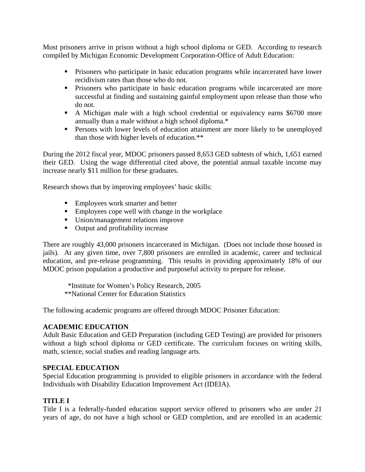Most prisoners arrive in prison without a high school diploma or GED. According to research compiled by Michigan Economic Development Corporation-Office of Adult Education:

- **Prisoners who participate in basic education programs while incarcerated have lower** recidivism rates than those who do not.
- **Prisoners who participate in basic education programs while incarcerated are more** successful at finding and sustaining gainful employment upon release than those who do not.
- A Michigan male with a high school credential or equivalency earns \$6700 more annually than a male without a high school diploma.\*
- **Persons with lower levels of education attainment are more likely to be unemployed** than those with higher levels of education.\*\*

During the 2012 fiscal year, MDOC prisoners passed 8,653 GED subtests of which, 1,651 earned their GED. Using the wage differential cited above, the potential annual taxable income may increase nearly \$11 million for these graduates.

Research shows that by improving employees' basic skills:

- Employees work smarter and better
- **Employees cope well with change in the workplace**
- Union/management relations improve
- Output and profitability increase

There are roughly 43,000 prisoners incarcerated in Michigan. (Does not include those housed in jails). At any given time, over 7,800 prisoners are enrolled in academic, career and technical education, and pre-release programming. This results in providing approximately 18% of our MDOC prison population a productive and purposeful activity to prepare for release.

 \*Institute for Women's Policy Research, 2005 \*\*National Center for Education Statistics

The following academic programs are offered through MDOC Prisoner Education:

#### **ACADEMIC EDUCATION**

Adult Basic Education and GED Preparation (including GED Testing) are provided for prisoners without a high school diploma or GED certificate. The curriculum focuses on writing skills, math, science, social studies and reading language arts.

#### **SPECIAL EDUCATION**

Special Education programming is provided to eligible prisoners in accordance with the federal Individuals with Disability Education Improvement Act (IDEIA).

#### **TITLE I**

Title I is a federally-funded education support service offered to prisoners who are under 21 years of age, do not have a high school or GED completion, and are enrolled in an academic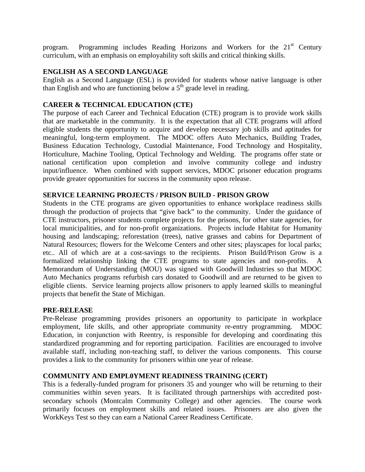program. Programming includes Reading Horizons and Workers for the 21<sup>st</sup> Century curriculum, with an emphasis on employability soft skills and critical thinking skills.

#### **ENGLISH AS A SECOND LANGUAGE**

English as a Second Language (ESL) is provided for students whose native language is other than English and who are functioning below a  $5<sup>th</sup>$  grade level in reading.

#### **CAREER & TECHNICAL EDUCATION (CTE)**

The purpose of each Career and Technical Education (CTE) program is to provide work skills that are marketable in the community. It is the expectation that all CTE programs will afford eligible students the opportunity to acquire and develop necessary job skills and aptitudes for meaningful, long-term employment. The MDOC offers Auto Mechanics, Building Trades, Business Education Technology, Custodial Maintenance, Food Technology and Hospitality, Horticulture, Machine Tooling, Optical Technology and Welding. The programs offer state or national certification upon completion and involve community college and industry input/influence. When combined with support services, MDOC prisoner education programs provide greater opportunities for success in the community upon release.

#### **SERVICE LEARNING PROJECTS / PRISON BUILD - PRISON GROW**

Students in the CTE programs are given opportunities to enhance workplace readiness skills through the production of projects that "give back" to the community. Under the guidance of CTE instructors, prisoner students complete projects for the prisons, for other state agencies, for local municipalities, and for non-profit organizations. Projects include Habitat for Humanity housing and landscaping; reforestation (trees), native grasses and cabins for Department of Natural Resources; flowers for the Welcome Centers and other sites; playscapes for local parks; etc.. All of which are at a cost-savings to the recipients. Prison Build/Prison Grow is a formalized relationship linking the CTE programs to state agencies and non-profits. A Memorandum of Understanding (MOU) was signed with Goodwill Industries so that MDOC Auto Mechanics programs refurbish cars donated to Goodwill and are returned to be given to eligible clients. Service learning projects allow prisoners to apply learned skills to meaningful projects that benefit the State of Michigan.

#### **PRE-RELEASE**

Pre-Release programming provides prisoners an opportunity to participate in workplace employment, life skills, and other appropriate community re-entry programming. MDOC Education, in conjunction with Reentry, is responsible for developing and coordinating this standardized programming and for reporting participation. Facilities are encouraged to involve available staff, including non-teaching staff, to deliver the various components. This course provides a link to the community for prisoners within one year of release.

#### **COMMUNITY AND EMPL0YMENT READINESS TRAINING (CERT)**

This is a federally-funded program for prisoners 35 and younger who will be returning to their communities within seven years. It is facilitated through partnerships with accredited postsecondary schools (Montcalm Community College) and other agencies. The course work primarily focuses on employment skills and related issues. Prisoners are also given the WorkKeys Test so they can earn a National Career Readiness Certificate.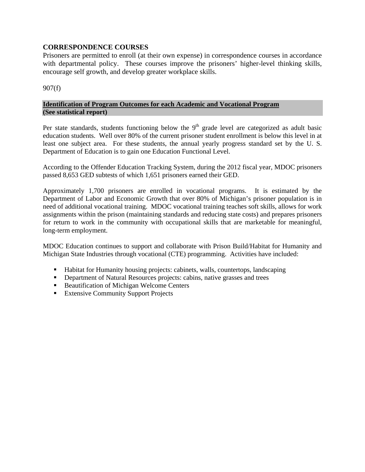#### **CORRESPONDENCE COURSES**

Prisoners are permitted to enroll (at their own expense) in correspondence courses in accordance with departmental policy. These courses improve the prisoners' higher-level thinking skills, encourage self growth, and develop greater workplace skills.

907(f)

#### **Identification of Program Outcomes for each Academic and Vocational Program (See statistical report)**

Per state standards, students functioning below the  $9<sup>th</sup>$  grade level are categorized as adult basic education students. Well over 80% of the current prisoner student enrollment is below this level in at least one subject area. For these students, the annual yearly progress standard set by the U. S. Department of Education is to gain one Education Functional Level.

According to the Offender Education Tracking System, during the 2012 fiscal year, MDOC prisoners passed 8,653 GED subtests of which 1,651 prisoners earned their GED.

Approximately 1,700 prisoners are enrolled in vocational programs. It is estimated by the Department of Labor and Economic Growth that over 80% of Michigan's prisoner population is in need of additional vocational training. MDOC vocational training teaches soft skills, allows for work assignments within the prison (maintaining standards and reducing state costs) and prepares prisoners for return to work in the community with occupational skills that are marketable for meaningful, long-term employment.

MDOC Education continues to support and collaborate with Prison Build/Habitat for Humanity and Michigan State Industries through vocational (CTE) programming. Activities have included:

- Habitat for Humanity housing projects: cabinets, walls, countertops, landscaping
- **•** Department of Natural Resources projects: cabins, native grasses and trees
- **Beautification of Michigan Welcome Centers**
- **Extensive Community Support Projects**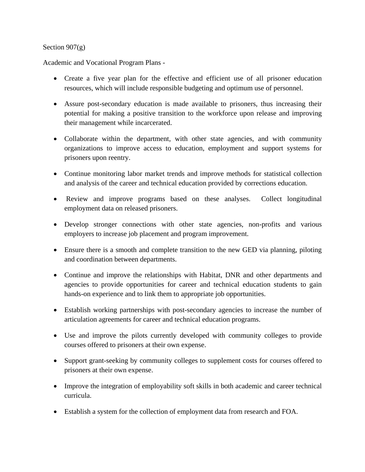#### Section 907(g)

Academic and Vocational Program Plans -

- Create a five year plan for the effective and efficient use of all prisoner education resources, which will include responsible budgeting and optimum use of personnel.
- Assure post-secondary education is made available to prisoners, thus increasing their potential for making a positive transition to the workforce upon release and improving their management while incarcerated.
- Collaborate within the department, with other state agencies, and with community organizations to improve access to education, employment and support systems for prisoners upon reentry.
- Continue monitoring labor market trends and improve methods for statistical collection and analysis of the career and technical education provided by corrections education.
- Review and improve programs based on these analyses. Collect longitudinal employment data on released prisoners.
- Develop stronger connections with other state agencies, non-profits and various employers to increase job placement and program improvement.
- Ensure there is a smooth and complete transition to the new GED via planning, piloting and coordination between departments.
- Continue and improve the relationships with Habitat, DNR and other departments and agencies to provide opportunities for career and technical education students to gain hands-on experience and to link them to appropriate job opportunities.
- Establish working partnerships with post-secondary agencies to increase the number of articulation agreements for career and technical education programs.
- Use and improve the pilots currently developed with community colleges to provide courses offered to prisoners at their own expense.
- Support grant-seeking by community colleges to supplement costs for courses offered to prisoners at their own expense.
- Improve the integration of employability soft skills in both academic and career technical curricula.
- Establish a system for the collection of employment data from research and FOA.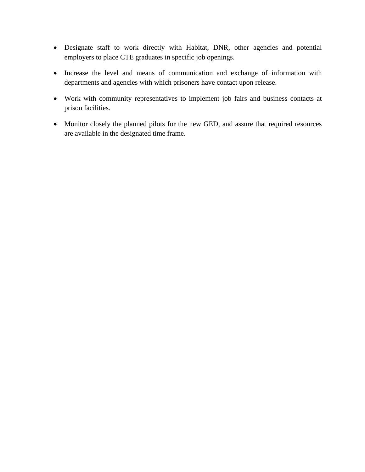- Designate staff to work directly with Habitat, DNR, other agencies and potential employers to place CTE graduates in specific job openings.
- Increase the level and means of communication and exchange of information with departments and agencies with which prisoners have contact upon release.
- Work with community representatives to implement job fairs and business contacts at prison facilities.
- Monitor closely the planned pilots for the new GED, and assure that required resources are available in the designated time frame.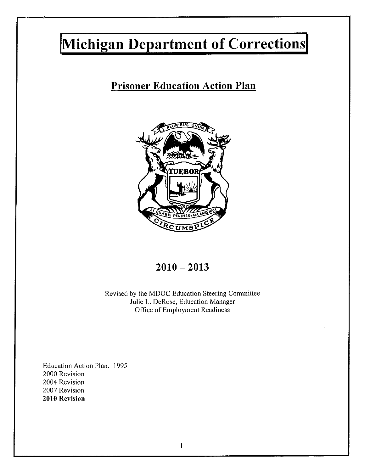# Michigan Department of Corrections

### **Prisoner Education Action Plan**



### $2010 - 2013$

Revised by the MDOC Education Steering Committee Julie L. DeRose, Education Manager Office of Employment Readiness

Education Action Plan: 1995 2000 Revision 2004 Revision 2007 Revision 2010 Revision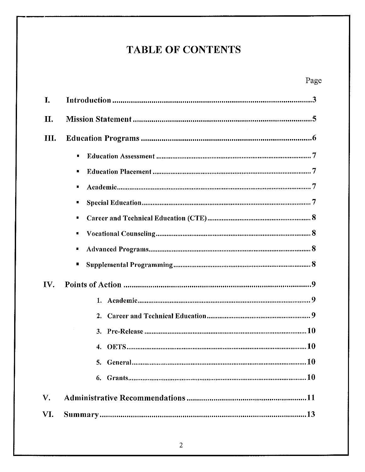## **TABLE OF CONTENTS**

| I.          |                                        |  |
|-------------|----------------------------------------|--|
| Π.          |                                        |  |
| Ш.          |                                        |  |
|             | п<br>в<br>ш<br>п                       |  |
|             | ٠<br>٠<br>П<br>п                       |  |
| IV.         | 2 <sub>1</sub><br>3.<br>$\mathbf{4}$ . |  |
| $V_{\cdot}$ |                                        |  |
| VI.         |                                        |  |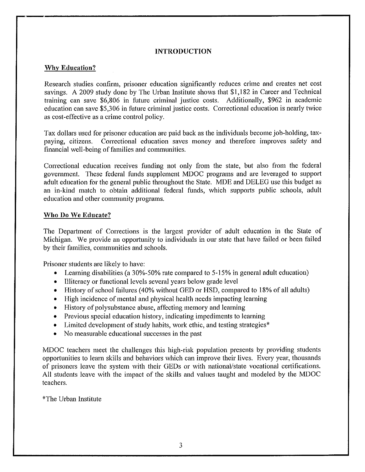#### **INTRODUCTION**

#### **Why Education?**

Research studies confirm, prisoner education significantly reduces crime and creates net cost savings. A 2009 study done by The Urban Institute shows that \$1,182 in Career and Technical training can save \$6,806 in future criminal justice costs. Additionally, \$962 in academic education can save \$5,306 in future criminal justice costs. Correctional education is nearly twice as cost-effective as a crime control policy.

Tax dollars used for prisoner education are paid back as the individuals become job-holding, taxpaying, citizens. Correctional education saves money and therefore improves safety and financial well-being of families and communities.

Correctional education receives funding not only from the state, but also from the federal government. These federal funds supplement MDOC programs and are leveraged to support adult education for the general public throughout the State. MDE and DELEG use this budget as an in-kind match to obtain additional federal funds, which supports public schools, adult education and other community programs.

#### **Who Do We Educate?**

The Department of Corrections is the largest provider of adult education in the State of Michigan. We provide an opportunity to individuals in our state that have failed or been failed by their families, communities and schools.

Prisoner students are likely to have:

- Learning disabilities (a 30%-50% rate compared to 5-15% in general adult education)
- Illiteracy or functional levels several years below grade level  $\bullet$
- History of school failures (40% without GED or HSD, compared to 18% of all adults)
- High incidence of mental and physical health needs impacting learning  $\bullet$
- History of polysubstance abuse, affecting memory and learning  $\bullet$
- Previous special education history, indicating impediments to learning ۰
- Limited development of study habits, work ethic, and testing strategies\*  $\bullet$
- No measurable educational successes in the past ۰

MDOC teachers meet the challenges this high-risk population presents by providing students opportunities to learn skills and behaviors which can improve their lives. Every year, thousands of prisoners leave the system with their GEDs or with national/state vocational certifications. All students leave with the impact of the skills and values taught and modeled by the MDOC teachers.

\*The Urban Institute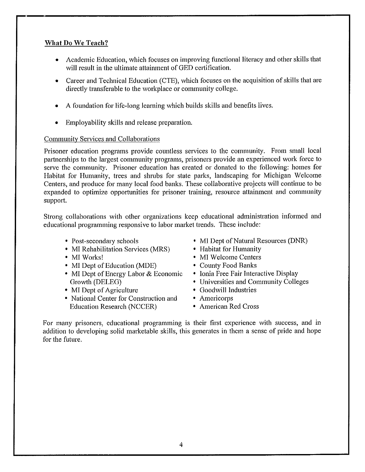#### What Do We Teach?

- Academic Education, which focuses on improving functional literacy and other skills that will result in the ultimate attainment of GED certification.
- Career and Technical Education (CTE), which focuses on the acquisition of skills that are directly transferable to the workplace or community college.
- A foundation for life-long learning which builds skills and benefits lives.
- Employability skills and release preparation.

#### **Community Services and Collaborations**

Prisoner education programs provide countless services to the community. From small local partnerships to the largest community programs, prisoners provide an experienced work force to serve the community. Prisoner education has created or donated to the following: homes for Habitat for Humanity, trees and shrubs for state parks, landscaping for Michigan Welcome Centers, and produce for many local food banks. These collaborative projects will continue to be expanded to optimize opportunities for prisoner training, resource attainment and community support.

Strong collaborations with other organizations keep educational administration informed and educational programming responsive to labor market trends. These include:

- Post-secondary schools
- MI Rehabilitation Services (MRS)
- MI Works!
- MI Dept of Education (MDE)
- MI Dept of Energy Labor & Economic Growth (DELEG)
- MI Dept of Agriculture
- National Center for Construction and **Education Research (NCCER)**
- MI Dept of Natural Resources (DNR)
- Habitat for Humanity
- MI Welcome Centers
- County Food Banks
- Ionia Free Fair Interactive Display
- Universities and Community Colleges
- Goodwill Industries
- Americorps
- American Red Cross

For many prisoners, educational programming is their first experience with success, and in addition to developing solid marketable skills, this generates in them a sense of pride and hope for the future.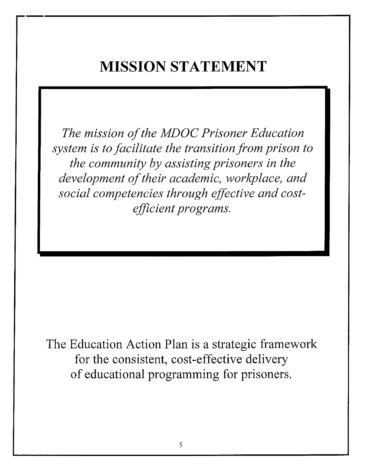# **MISSION STATEMENT**

The mission of the MDOC Prisoner Education system is to facilitate the transition from prison to the community by assisting prisoners in the development of their academic, workplace, and social competencies through effective and costefficient programs.

The Education Action Plan is a strategic framework for the consistent, cost-effective delivery of educational programming for prisoners.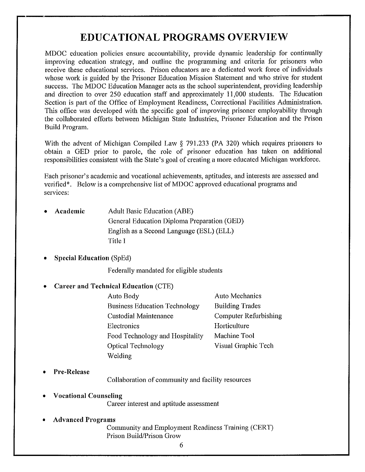### **EDUCATIONAL PROGRAMS OVERVIEW**

MDOC education policies ensure accountability, provide dynamic leadership for continually improving education strategy, and outline the programming and criteria for prisoners who receive these educational services. Prison educators are a dedicated work force of individuals whose work is guided by the Prisoner Education Mission Statement and who strive for student success. The MDOC Education Manager acts as the school superintendent, providing leadership and direction to over 250 education staff and approximately 11,000 students. The Education Section is part of the Office of Employment Readiness, Correctional Facilities Administration. This office was developed with the specific goal of improving prisoner employability through the collaborated efforts between Michigan State Industries, Prisoner Education and the Prison Build Program.

With the advent of Michigan Compiled Law § 791.233 (PA 320) which requires prisoners to obtain a GED prior to parole, the role of prisoner education has taken on additional responsibilities consistent with the State's goal of creating a more educated Michigan workforce.

Each prisoner's academic and vocational achievements, aptitudes, and interests are assessed and verified\*. Below is a comprehensive list of MDOC approved educational programs and services:

- Academic **Adult Basic Education (ABE)** General Education Diploma Preparation (GED) English as a Second Language (ESL) (ELL) Title I
- **Special Education (SpEd)**

Federally mandated for eligible students

- **Career and Technical Education (CTE)** 
	- Auto Mechanics Auto Body **Business Education Technology Building Trades** Custodial Maintenance **Computer Refurbishing** Electronics Horticulture Food Technology and Hospitality Machine Tool Visual Graphic Tech **Optical Technology** Welding
- **Pre-Release**

Collaboration of community and facility resources

- **Vocational Counseling** Career interest and aptitude assessment
- **Advanced Programs**

Community and Employment Readiness Training (CERT) Prison Build/Prison Grow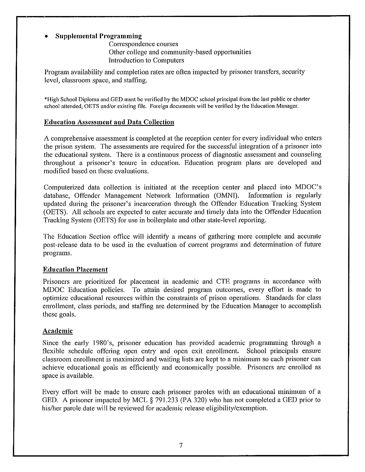#### **Supplemental Programming**

Correspondence courses Other college and community-based opportunities **Introduction to Computers** 

Program availability and completion rates are often impacted by prisoner transfers, security level, classroom space, and staffing.

\*High School Diploma and GED must be verified by the MDOC school principal from the last public or charter school attended, OETS and/or existing file. Foreign documents will be verified by the Education Manager.

#### **Education Assessment and Data Collection**

A comprehensive assessment is completed at the reception center for every individual who enters the prison system. The assessments are required for the successful integration of a prisoner into the educational system. There is a continuous process of diagnostic assessment and counseling throughout a prisoner's tenure in education. Education program plans are developed and modified based on these evaluations.

Computerized data collection is initiated at the reception center and placed into MDOC's database, Offender Management Network Information (OMNI). Information is regularly updated during the prisoner's incarceration through the Offender Education Tracking System (OETS). All schools are expected to enter accurate and timely data into the Offender Education Tracking System (OETS) for use in boilerplate and other state-level reporting.

The Education Section office will identify a means of gathering more complete and accurate post-release data to be used in the evaluation of current programs and determination of future programs.

#### **Education Placement**

Prisoners are prioritized for placement in academic and CTE programs in accordance with To attain desired program outcomes, every effort is made to MDOC Education policies. optimize educational resources within the constraints of prison operations. Standards for class enrollment, class periods, and staffing are determined by the Education Manager to accomplish these goals.

#### **Academic**

Since the early 1980's, prisoner education has provided academic programming through a flexible schedule offering open entry and open exit enrollment. School principals ensure classroom enrollment is maximized and waiting lists are kept to a minimum so each prisoner can achieve educational goals as efficiently and economically possible. Prisoners are enrolled as space is available.

Every effort will be made to ensure each prisoner paroles with an educational minimum of a GED. A prisoner impacted by MCL § 791.233 (PA 320) who has not completed a GED prior to his/her parole date will be reviewed for academic release eligibility/exemption.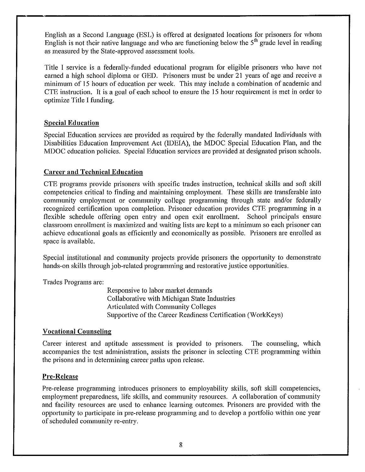English as a Second Language (ESL) is offered at designated locations for prisoners for whom English is not their native language and who are functioning below the  $5<sup>th</sup>$  grade level in reading as measured by the State-approved assessment tools.

Title I service is a federally-funded educational program for eligible prisoners who have not earned a high school diploma or GED. Prisoners must be under 21 years of age and receive a minimum of 15 hours of education per week. This may include a combination of academic and CTE instruction. It is a goal of each school to ensure the 15 hour requirement is met in order to optimize Title I funding.

#### **Special Education**

Special Education services are provided as required by the federally mandated Individuals with Disabilities Education Improvement Act (IDEIA), the MDOC Special Education Plan, and the MDOC education policies. Special Education services are provided at designated prison schools.

#### **Career and Technical Education**

CTE programs provide prisoners with specific trades instruction, technical skills and soft skill competencies critical to finding and maintaining employment. These skills are transferable into community employment or community college programming through state and/or federally recognized certification upon completion. Prisoner education provides CTE programming in a flexible schedule offering open entry and open exit enrollment. School principals ensure classroom enrollment is maximized and waiting lists are kept to a minimum so each prisoner can achieve educational goals as efficiently and economically as possible. Prisoners are enrolled as space is available.

Special institutional and community projects provide prisoners the opportunity to demonstrate hands-on skills through job-related programming and restorative justice opportunities.

Trades Programs are:

Responsive to labor market demands Collaborative with Michigan State Industries Articulated with Community Colleges Supportive of the Career Readiness Certification (WorkKeys)

#### **Vocational Counseling**

Career interest and aptitude assessment is provided to prisoners. The counseling, which accompanies the test administration, assists the prisoner in selecting CTE programming within the prisons and in determining career paths upon release.

#### **Pre-Release**

Pre-release programming introduces prisoners to employability skills, soft skill competencies, employment preparedness, life skills, and community resources. A collaboration of community and facility resources are used to enhance learning outcomes. Prisoners are provided with the opportunity to participate in pre-release programming and to develop a portfolio within one year of scheduled community re-entry.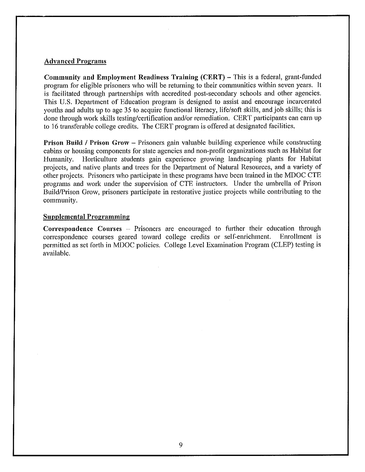#### **Advanced Programs**

**Community and Employment Readiness Training (CERT) – This is a federal, grant-funded** program for eligible prisoners who will be returning to their communities within seven years. It is facilitated through partnerships with accredited post-secondary schools and other agencies. This U.S. Department of Education program is designed to assist and encourage incarcerated youths and adults up to age 35 to acquire functional literacy, life/soft skills, and job skills; this is done through work skills testing/certification and/or remediation. CERT participants can earn up to 16 transferable college credits. The CERT program is offered at designated facilities.

**Prison Build / Prison Grow – Prisoners gain valuable building experience while constructing** cabins or housing components for state agencies and non-profit organizations such as Habitat for Horticulture students gain experience growing landscaping plants for Habitat Humanity. projects, and native plants and trees for the Department of Natural Resources, and a variety of other projects. Prisoners who participate in these programs have been trained in the MDOC CTE programs and work under the supervision of CTE instructors. Under the umbrella of Prison Build/Prison Grow, prisoners participate in restorative justice projects while contributing to the community.

#### **Supplemental Programming**

Correspondence Courses – Prisoners are encouraged to further their education through correspondence courses geared toward college credits or self-enrichment. Enrollment is permitted as set forth in MDOC policies. College Level Examination Program (CLEP) testing is available.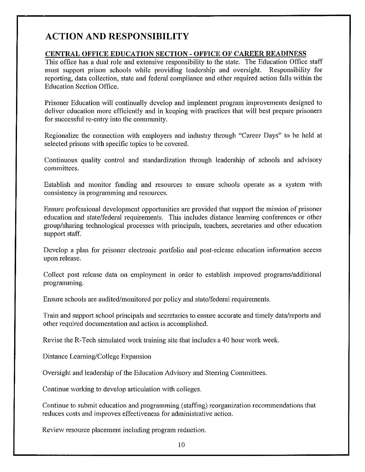### **ACTION AND RESPONSIBILITY**

#### CENTRAL OFFICE EDUCATION SECTION - OFFICE OF CAREER READINESS

This office has a dual role and extensive responsibility to the state. The Education Office staff must support prison schools while providing leadership and oversight. Responsibility for reporting, data collection, state and federal compliance and other required action falls within the **Education Section Office.** 

Prisoner Education will continually develop and implement program improvements designed to deliver education more efficiently and in keeping with practices that will best prepare prisoners for successful re-entry into the community.

Regionalize the connection with employers and industry through "Career Days" to be held at selected prisons with specific topics to be covered.

Continuous quality control and standardization through leadership of schools and advisory committees.

Establish and monitor funding and resources to ensure schools operate as a system with consistency in programming and resources.

Ensure professional development opportunities are provided that support the mission of prisoner education and state/federal requirements. This includes distance learning conferences or other group/sharing technological processes with principals, teachers, secretaries and other education support staff.

Develop a plan for prisoner electronic portfolio and post-release education information access upon release.

Collect post release data on employment in order to establish improved programs/additional programming.

Ensure schools are audited/monitored per policy and state/federal requirements.

Train and support school principals and secretaries to ensure accurate and timely data/reports and other required documentation and action is accomplished.

Revise the R-Tech simulated work training site that includes a 40 hour work week.

Distance Learning/College Expansion

Oversight and leadership of the Education Advisory and Steering Committees.

Continue working to develop articulation with colleges.

Continue to submit education and programming (staffing) reorganization recommendations that reduces costs and improves effectiveness for administrative action.

Review resource placement including program reduction.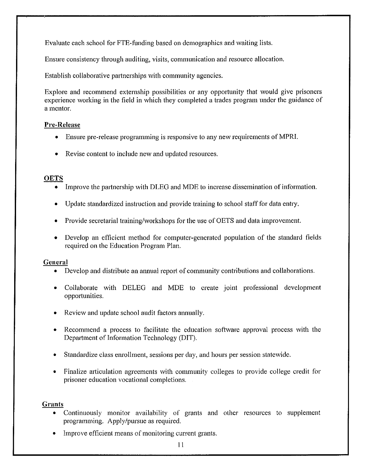Evaluate each school for FTE-funding based on demographics and waiting lists.

Ensure consistency through auditing, visits, communication and resource allocation.

Establish collaborative partnerships with community agencies.

Explore and recommend externship possibilities or any opportunity that would give prisoners experience working in the field in which they completed a trades program under the guidance of a mentor.

#### **Pre-Release**

- Ensure pre-release programming is responsive to any new requirements of MPRI.
- Revise content to include new and updated resources.

#### **OETS**

- Improve the partnership with DLEG and MDE to increase dissemination of information.
- Update standardized instruction and provide training to school staff for data entry.
- Provide secretarial training/workshops for the use of OETS and data improvement.
- Develop an efficient method for computer-generated population of the standard fields required on the Education Program Plan.

#### General

- Develop and distribute an annual report of community contributions and collaborations.  $\bullet$
- Collaborate with DELEG and MDE to create joint professional development opportunities.
- Review and update school audit factors annually.
- Recommend a process to facilitate the education software approval process with the Department of Information Technology (DIT).
- Standardize class enrollment, sessions per day, and hours per session statewide.
- Finalize articulation agreements with community colleges to provide college credit for prisoner education vocational completions.

#### **Grants**

- Continuously monitor availability of grants and other resources to supplement programming. Apply/pursue as required.
- Improve efficient means of monitoring current grants.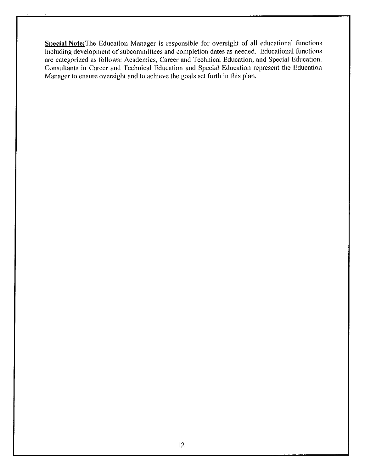Special Note: The Education Manager is responsible for oversight of all educational functions including development of subcommittees and completion dates as needed. Educational functions are categorized as follows: Academics, Career and Technical Education, and Special Education. Consultants in Career and Technical Education and Special Education represent the Education Manager to ensure oversight and to achieve the goals set forth in this plan.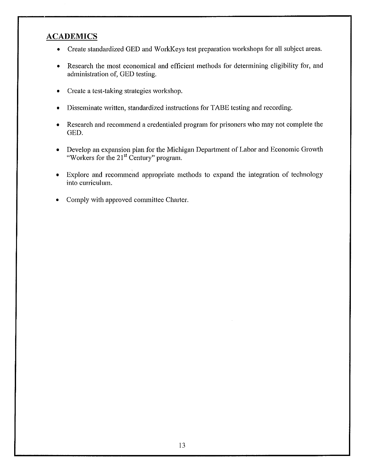### **ACADEMICS**

- Create standardized GED and WorkKeys test preparation workshops for all subject areas.
- Research the most economical and efficient methods for determining eligibility for, and  $\bullet$ administration of, GED testing.
- Create a test-taking strategies workshop.  $\bullet$
- Disseminate written, standardized instructions for TABE testing and recording.
- Research and recommend a credentialed program for prisoners who may not complete the  $\bullet$ GED.
- Develop an expansion plan for the Michigan Department of Labor and Economic Growth  $\bullet$ "Workers for the 21<sup>st</sup> Century" program.
- Explore and recommend appropriate methods to expand the integration of technology  $\bullet$ into curriculum.
- Comply with approved committee Charter.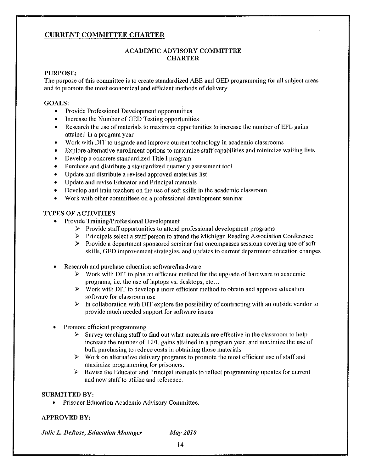#### **CURRENT COMMITTEE CHARTER**

#### **ACADEMIC ADVISORY COMMITTEE CHARTER**

#### **PURPOSE:**

The purpose of this committee is to create standardized ABE and GED programming for all subject areas and to promote the most economical and efficient methods of delivery.

#### **GOALS:**

- Provide Professional Development opportunities
- Increase the Number of GED Testing opportunities
- Research the use of materials to maximize opportunities to increase the number of EFL gains  $\bullet$ attained in a program year
- Work with DIT to upgrade and improve current technology in academic classrooms  $\bullet$
- Explore alternative enrollment options to maximize staff capabilities and minimize waiting lists  $\bullet$
- Develop a concrete standardized Title I program  $\bullet$
- Purchase and distribute a standardized quarterly assessment tool  $\bullet$
- Update and distribute a revised approved materials list  $\bullet$
- Update and revise Educator and Principal manuals  $\bullet$  .
- Develop and train teachers on the use of soft skills in the academic classroom
- Work with other committees on a professional development seminar

#### TYPES OF ACTIVITIES

- Provide Training/Professional Development
	- $\triangleright$  Provide staff opportunities to attend professional development programs
	- $\triangleright$  Principals select a staff person to attend the Michigan Reading Association Conference
	- $\triangleright$  Provide a department sponsored seminar that encompasses sessions covering use of soft skills, GED improvement strategies, and updates to current department education changes
- Research and purchase education software/hardware
	- $\triangleright$  Work with DIT to plan an efficient method for the upgrade of hardware to academic programs, i.e. the use of laptops vs. desktops, etc...
	- $\triangleright$  Work with DIT to develop a more efficient method to obtain and approve education software for classroom use
	- $\triangleright$  In collaboration with DIT explore the possibility of contracting with an outside vendor to provide much needed support for software issues
- Promote efficient programming
	- $\triangleright$  Survey teaching staff to find out what materials are effective in the classroom to help increase the number of EFL gains attained in a program year, and maximize the use of bulk purchasing to reduce costs in obtaining those materials
	- $\triangleright$  Work on alternative delivery programs to promote the most efficient use of staff and maximize programming for prisoners.
	- $\triangleright$  Revise the Educator and Principal manuals to reflect programming updates for current and new staff to utilize and reference.

#### **SUBMITTED BY:**

 $\bullet$ Prisoner Education Academic Advisory Committee.

#### **APPROVED BY:**

Julie L. DeRose, Education Manager

**May 2010**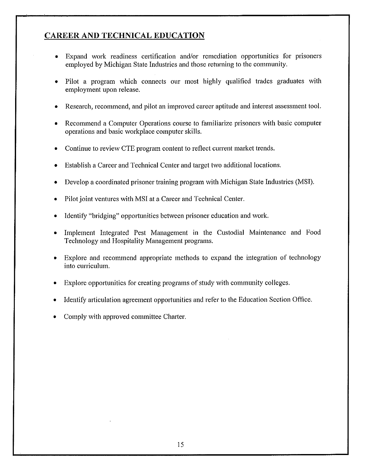#### **CAREER AND TECHNICAL EDUCATION**

- Expand work readiness certification and/or remediation opportunities for prisoners  $\bullet$ employed by Michigan State Industries and those returning to the community.
- Pilot a program which connects our most highly qualified trades graduates with  $\bullet$ employment upon release.
- Research, recommend, and pilot an improved career aptitude and interest assessment tool. ۰
- Recommend a Computer Operations course to familiarize prisoners with basic computer operations and basic workplace computer skills.
- Continue to review CTE program content to reflect current market trends.
- Establish a Career and Technical Center and target two additional locations.
- Develop a coordinated prisoner training program with Michigan State Industries (MSI).  $\bullet$
- Pilot joint ventures with MSI at a Career and Technical Center.
- Identify "bridging" opportunities between prisoner education and work.
- Implement Integrated Pest Management in the Custodial Maintenance and Food Technology and Hospitality Management programs.
- Explore and recommend appropriate methods to expand the integration of technology ۰ into curriculum.
- Explore opportunities for creating programs of study with community colleges. ٠
- Identify articulation agreement opportunities and refer to the Education Section Office.
- Comply with approved committee Charter.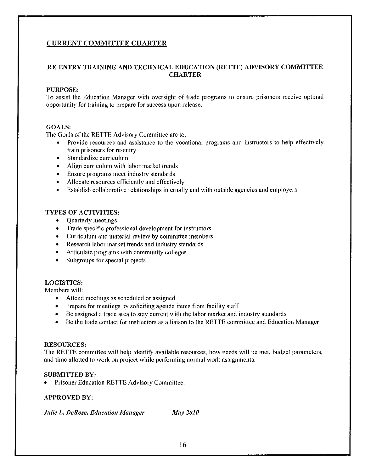#### **CURRENT COMMITTEE CHARTER**

#### RE-ENTRY TRAINING AND TECHNICAL EDUCATION (RETTE) ADVISORY COMMITTEE **CHARTER**

#### **PURPOSE:**

To assist the Education Manager with oversight of trade programs to ensure prisoners receive optimal opportunity for training to prepare for success upon release.

#### **GOALS:**

The Goals of the RETTE Advisory Committee are to:

- Provide resources and assistance to the vocational programs and instructors to help effectively train prisoners for re-entry
- Standardize curriculum  $\bullet$
- Align curriculum with labor market trends  $\bullet$
- Ensure programs meet industry standards  $\bullet$
- Allocate resources efficiently and effectively  $\bullet$
- $\bullet$ Establish collaborative relationships internally and with outside agencies and employers

#### **TYPES OF ACTIVITIES:**

- **Quarterly meetings**
- Trade specific professional development for instructors
- Curriculum and material review by committee members  $\bullet$
- Research labor market trends and industry standards
- Articulate programs with community colleges  $\bullet$
- Subgroups for special projects  $\bullet$

#### **LOGISTICS:**

Members will:

- Attend meetings as scheduled or assigned
- Prepare for meetings by soliciting agenda items from facility staff
- Be assigned a trade area to stay current with the labor market and industry standards
- Be the trade contact for instructors as a liaison to the RETTE committee and Education Manager

#### **RESOURCES:**

The RETTE committee will help identify available resources, how needs will be met, budget parameters, and time allotted to work on project while performing normal work assignments.

#### **SUBMITTED BY:**

Prisoner Education RETTE Advisory Committee.

#### **APPROVED BY:**

**Julie L. DeRose, Education Manager May 2010**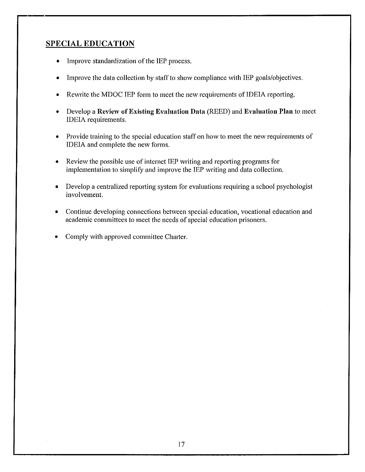#### **SPECIAL EDUCATION**

- Improve standardization of the IEP process.
- Improve the data collection by staff to show compliance with IEP goals/objectives.
- Rewrite the MDOC IEP form to meet the new requirements of IDEIA reporting.  $\bullet$
- Develop a Review of Existing Evaluation Data (REED) and Evaluation Plan to meet  $\bullet$ IDEIA requirements.
- Provide training to the special education staff on how to meet the new requirements of  $\bullet$ IDEIA and complete the new forms.
- Review the possible use of internet IEP writing and reporting programs for  $\bullet$ implementation to simplify and improve the IEP writing and data collection.
- Develop a centralized reporting system for evaluations requiring a school psychologist  $\bullet$ involvement.
- Continue developing connections between special education, vocational education and  $\bullet$ academic committees to meet the needs of special education prisoners.
- Comply with approved committee Charter.  $\bullet$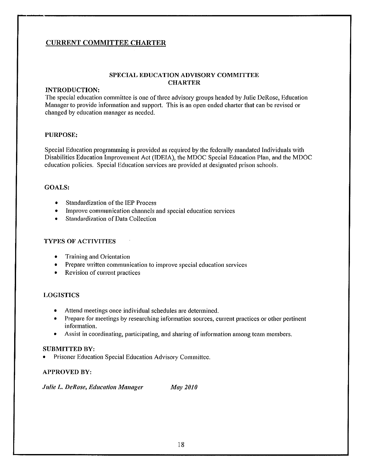#### **CURRENT COMMITTEE CHARTER**

#### SPECIAL EDUCATION ADVISORY COMMITTEE **CHARTER**

#### **INTRODUCTION:**

The special education committee is one of three advisory groups headed by Julie DeRose, Education Manager to provide information and support. This is an open ended charter that can be revised or changed by education manager as needed.

#### **PURPOSE:**

Special Education programming is provided as required by the federally mandated Individuals with Disabilities Education Improvement Act (IDEIA), the MDOC Special Education Plan, and the MDOC education policies. Special Education services are provided at designated prison schools.

#### **GOALS:**

- Standardization of the IEP Process  $\bullet$
- Improve communication channels and special education services ٠
- **Standardization of Data Collection**  $\bullet$

#### **TYPES OF ACTIVITIES**

- Training and Orientation  $\bullet$
- Prepare written communication to improve special education services
- Revision of current practices  $\bullet$

#### **LOGISTICS**

- Attend meetings once individual schedules are determined.
- Prepare for meetings by researching information sources, current practices or other pertinent  $\bullet$ information.
- Assist in coordinating, participating, and sharing of information among team members.  $\bullet$

#### **SUBMITTED BY:**

Prisoner Education Special Education Advisory Committee.

#### **APPROVED BY:**

**Julie L. DeRose, Education Manager May 2010**